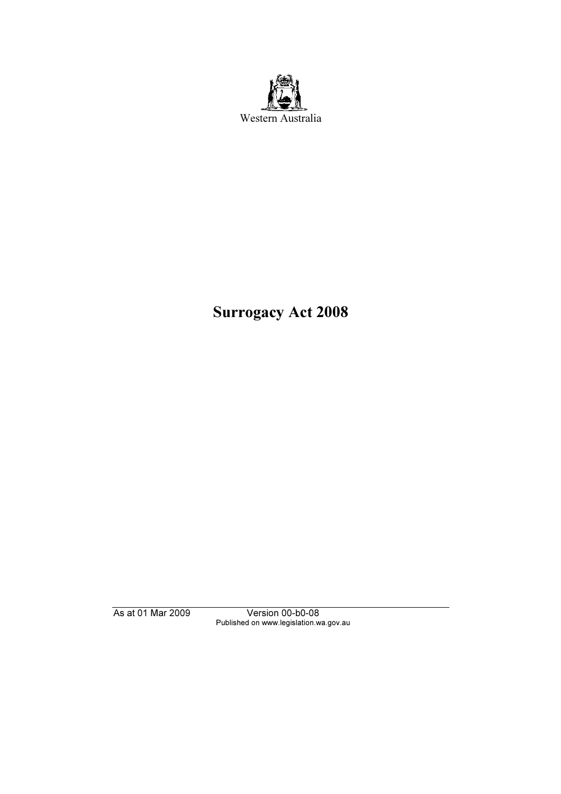

# Surrogacy Act 2008

As at 01 Mar 2009 Version 00-b0-08 Published on www.legislation.wa.gov.au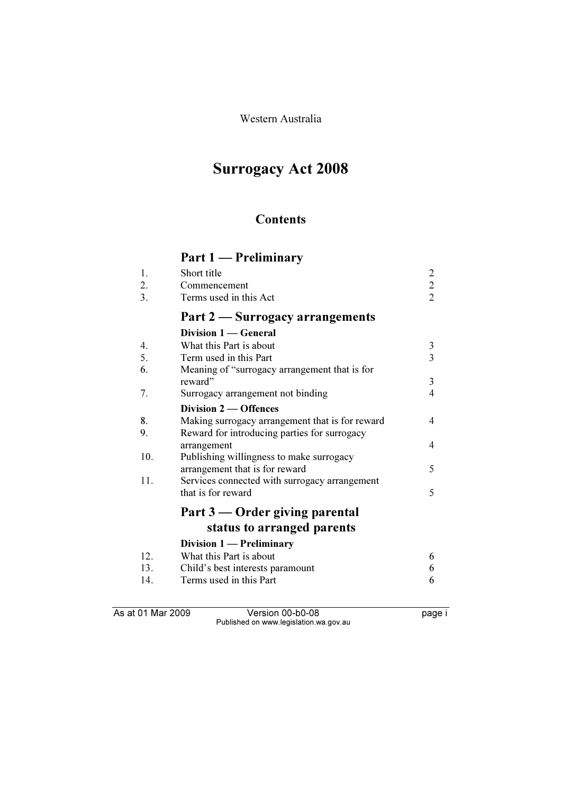Western Australia

## Surrogacy Act 2008

## **Contents**

## Part 1 — Preliminary

| $\overline{1}$ . | Short title                     |                             |
|------------------|---------------------------------|-----------------------------|
| 2.               | Commencement                    | $\mathcal{D}_{\mathcal{L}}$ |
| $\mathcal{E}$    | Terms used in this Act          | $\mathcal{D}_{\mathcal{L}}$ |
|                  | Part 2 — Surrogacy arrangements |                             |
|                  | Division 1 — General            |                             |
|                  | What this Dort is about         |                             |

| 4.  | What this Part is about                         | 3 |
|-----|-------------------------------------------------|---|
| 5.  | Term used in this Part                          | 3 |
| 6.  | Meaning of "surrogacy arrangement that is for   |   |
|     | reward"                                         | 3 |
| 7.  | Surrogacy arrangement not binding               | 4 |
|     | Division 2 	— Offences                          |   |
| 8.  | Making surrogacy arrangement that is for reward | 4 |
| 9.  | Reward for introducing parties for surrogacy    |   |
|     | arrangement                                     | 4 |
| 10. | Publishing willingness to make surrogacy        |   |
|     | arrangement that is for reward                  | 5 |
| 11. | Services connected with surrogacy arrangement   |   |
|     | that is for reward                              | 5 |
|     | Part 3 — Order giving parental                  |   |
|     | status to arranged parents                      |   |
|     | Division 1 — Preliminary                        |   |
| 12. | What this Part is about                         | 6 |
| 13. | Child's best interests paramount                |   |
| 14. | Terms used in this Part                         | 6 |

As at 01 Mar 2009 Version 00-b0-08 page i Published on www.legislation.wa.gov.au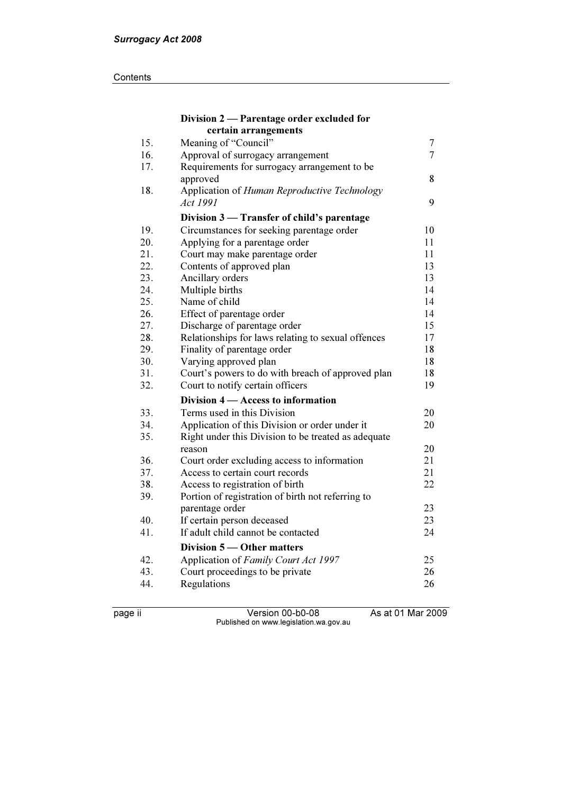#### **Contents**

|     | Division 2 - Parentage order excluded for           |                |
|-----|-----------------------------------------------------|----------------|
|     | certain arrangements                                |                |
| 15. | Meaning of "Council"                                | $\overline{7}$ |
| 16. | Approval of surrogacy arrangement                   | $\overline{7}$ |
| 17. | Requirements for surrogacy arrangement to be        |                |
|     | approved                                            | 8              |
| 18. | Application of Human Reproductive Technology        |                |
|     | Act 1991                                            | 9              |
|     | Division 3 – Transfer of child's parentage          |                |
| 19. | Circumstances for seeking parentage order           | 10             |
| 20. | Applying for a parentage order                      | 11             |
| 21. | Court may make parentage order                      | 11             |
| 22. | Contents of approved plan                           | 13             |
| 23. | Ancillary orders                                    | 13             |
| 24. | Multiple births                                     | 14             |
| 25. | Name of child                                       | 14             |
| 26. | Effect of parentage order                           | 14             |
| 27. | Discharge of parentage order                        | 15             |
| 28. | Relationships for laws relating to sexual offences  | 17             |
| 29. | Finality of parentage order                         | 18             |
| 30. | Varying approved plan                               | 18             |
| 31. | Court's powers to do with breach of approved plan   | 18             |
| 32. | Court to notify certain officers                    | 19             |
|     | Division 4 – Access to information                  |                |
| 33. | Terms used in this Division                         | 20             |
| 34. | Application of this Division or order under it      | 20             |
| 35. | Right under this Division to be treated as adequate |                |
|     | reason                                              | 20             |
| 36. | Court order excluding access to information         | 21             |
| 37. | Access to certain court records                     | 21             |
| 38. | Access to registration of birth                     | 22             |
| 39. | Portion of registration of birth not referring to   |                |
|     | parentage order                                     | 23             |
| 40. | If certain person deceased                          | 23             |
| 41. | If adult child cannot be contacted                  | 24             |
|     | Division 5 — Other matters                          |                |
| 42. | Application of Family Court Act 1997                | 25             |
| 43. | Court proceedings to be private                     | 26             |
| 44. | Regulations                                         | 26             |
|     |                                                     |                |

page ii Version 00-b0-08 As at 01 Mar 2009 Published on www.legislation.wa.gov.au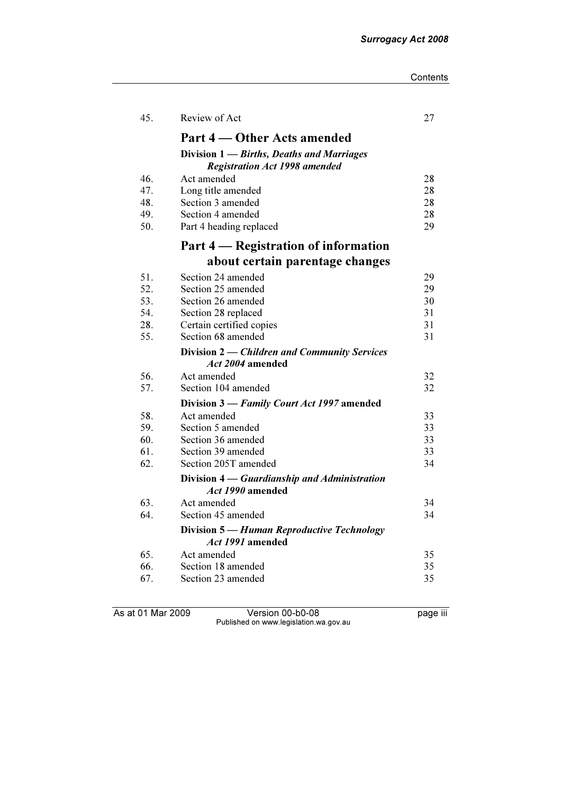| Contents |
|----------|
|----------|

| 45. | Review of Act                                                                     | 27 |
|-----|-----------------------------------------------------------------------------------|----|
|     | Part 4 – Other Acts amended                                                       |    |
|     | Division 1 — Births, Deaths and Marriages<br><b>Registration Act 1998 amended</b> |    |
| 46. | Act amended                                                                       | 28 |
| 47. | Long title amended                                                                | 28 |
| 48. | Section 3 amended                                                                 | 28 |
| 49. | Section 4 amended                                                                 | 28 |
| 50. | Part 4 heading replaced                                                           | 29 |
|     | Part 4 — Registration of information                                              |    |
|     | about certain parentage changes                                                   |    |
| 51. | Section 24 amended                                                                | 29 |
| 52. | Section 25 amended                                                                | 29 |
| 53. | Section 26 amended                                                                | 30 |
| 54. | Section 28 replaced                                                               | 31 |
| 28. | Certain certified copies                                                          | 31 |
| 55. | Section 68 amended                                                                | 31 |
|     | Division 2 — Children and Community Services                                      |    |
|     | <i>Act 2004</i> amended                                                           |    |
| 56. | Act amended                                                                       | 32 |
| 57. | Section 104 amended                                                               | 32 |
|     | Division 3 - Family Court Act 1997 amended                                        |    |
| 58. | Act amended                                                                       | 33 |
| 59. | Section 5 amended                                                                 | 33 |
| 60. | Section 36 amended                                                                | 33 |
| 61. | Section 39 amended                                                                | 33 |
| 62. | Section 205T amended                                                              | 34 |
|     | Division 4 — Guardianship and Administration<br>Act 1990 amended                  |    |
| 63. | Act amended                                                                       | 34 |
| 64. | Section 45 amended                                                                | 34 |
|     | Division 5 — Human Reproductive Technology<br>Act 1991 amended                    |    |
| 65. | Act amended                                                                       | 35 |
| 66. | Section 18 amended                                                                | 35 |
| 67. | Section 23 amended                                                                | 35 |
|     |                                                                                   |    |

As at 01 Mar 2009 Version 00-b0-08 page iii Published on www.legislation.wa.gov.au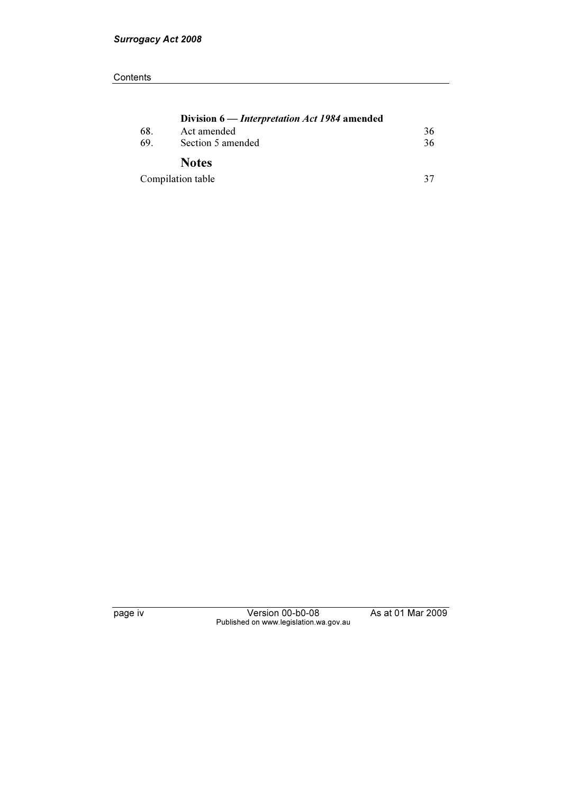|     | Division 6 — <i>Interpretation Act 1984</i> amended |    |  |
|-----|-----------------------------------------------------|----|--|
| 68. | Act amended                                         | 36 |  |
| 69. | Section 5 amended                                   | 36 |  |
|     | <b>Notes</b>                                        |    |  |
|     | Compilation table                                   | 37 |  |

page iv Version 00-b0-08 As at 01 Mar 2009 Published on www.legislation.wa.gov.au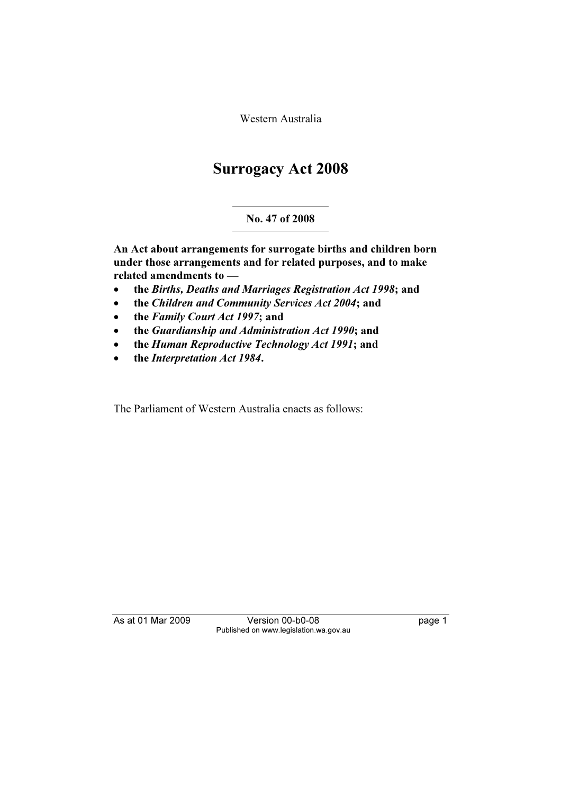Western Australia

## Surrogacy Act 2008

## No. 47 of 2008

An Act about arrangements for surrogate births and children born under those arrangements and for related purposes, and to make related amendments to —

- •the Births, Deaths and Marriages Registration Act 1998; and
- •the Children and Community Services Act 2004; and
- •the Family Court Act 1997; and
- •the Guardianship and Administration Act 1990; and
- •the Human Reproductive Technology Act 1991; and
- •the Interpretation Act 1984.

The Parliament of Western Australia enacts as follows:

As at 01 Mar 2009 Version 00-b0-08 page 1 Published on www.legislation.wa.gov.au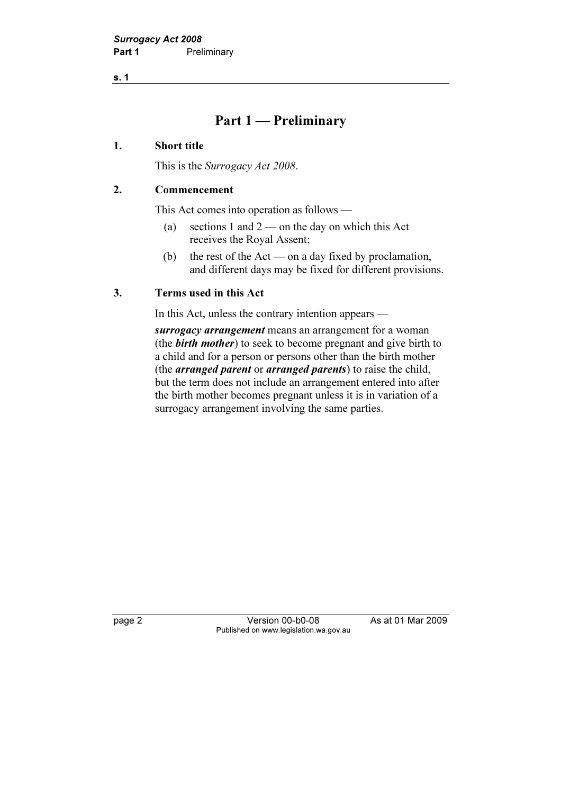s. 1

## Part 1 — Preliminary

#### 1. Short title

This is the *Surrogacy Act 2008*.

#### 2. Commencement

This Act comes into operation as follows —

- (a) sections 1 and 2 on the day on which this Act receives the Royal Assent;
- (b) the rest of the  $Act$  on a day fixed by proclamation, and different days may be fixed for different provisions.

#### 3. Terms used in this Act

In this Act, unless the contrary intention appears —

surrogacy arrangement means an arrangement for a woman (the **birth mother**) to seek to become pregnant and give birth to a child and for a person or persons other than the birth mother (the *arranged parent* or *arranged parents*) to raise the child, but the term does not include an arrangement entered into after the birth mother becomes pregnant unless it is in variation of a surrogacy arrangement involving the same parties.

page 2 Version 00-b0-08 As at 01 Mar 2009 Published on www.legislation.wa.gov.au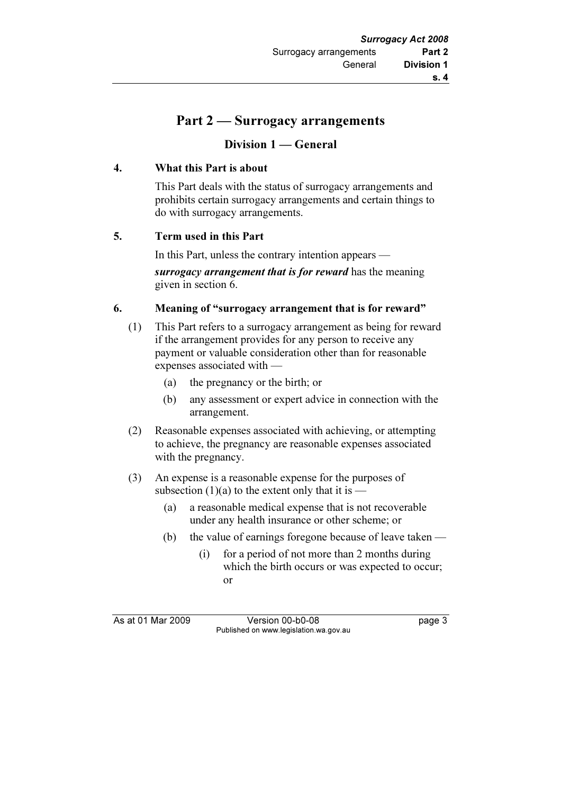## Part 2 — Surrogacy arrangements

## Division 1 — General

#### 4. What this Part is about

 This Part deals with the status of surrogacy arrangements and prohibits certain surrogacy arrangements and certain things to do with surrogacy arrangements.

#### 5. Term used in this Part

 In this Part, unless the contrary intention appears surrogacy arrangement that is for reward has the meaning given in section 6.

#### 6. Meaning of "surrogacy arrangement that is for reward"

- (1) This Part refers to a surrogacy arrangement as being for reward if the arrangement provides for any person to receive any payment or valuable consideration other than for reasonable expenses associated with —
	- (a) the pregnancy or the birth; or
	- (b) any assessment or expert advice in connection with the arrangement.
- (2) Reasonable expenses associated with achieving, or attempting to achieve, the pregnancy are reasonable expenses associated with the pregnancy.
- (3) An expense is a reasonable expense for the purposes of subsection  $(1)(a)$  to the extent only that it is —
	- (a) a reasonable medical expense that is not recoverable under any health insurance or other scheme; or
	- (b) the value of earnings foregone because of leave taken
		- (i) for a period of not more than 2 months during which the birth occurs or was expected to occur; or

As at 01 Mar 2009 Version 00-b0-08 page 3 Published on www.legislation.wa.gov.au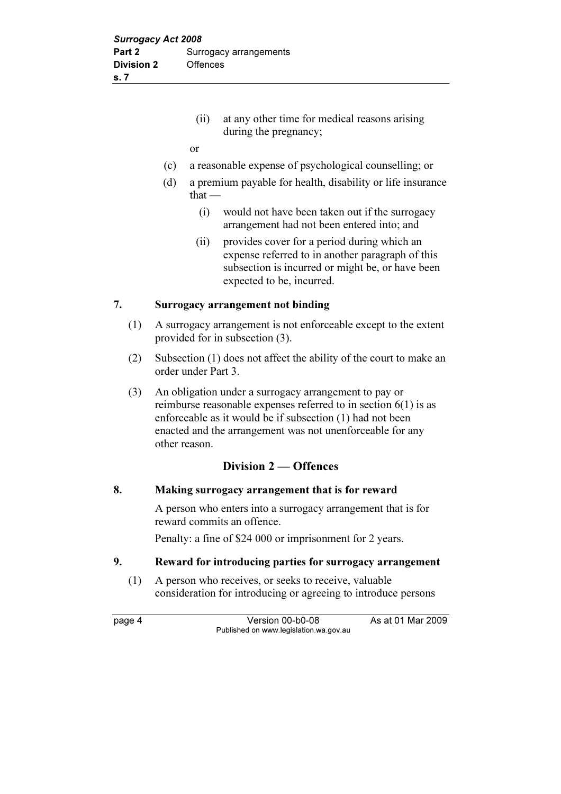- (ii) at any other time for medical reasons arising during the pregnancy;
- or
- (c) a reasonable expense of psychological counselling; or
- (d) a premium payable for health, disability or life insurance that —
	- (i) would not have been taken out if the surrogacy arrangement had not been entered into; and
	- (ii) provides cover for a period during which an expense referred to in another paragraph of this subsection is incurred or might be, or have been expected to be, incurred.

#### 7. Surrogacy arrangement not binding

- (1) A surrogacy arrangement is not enforceable except to the extent provided for in subsection (3).
- (2) Subsection (1) does not affect the ability of the court to make an order under Part 3.
- (3) An obligation under a surrogacy arrangement to pay or reimburse reasonable expenses referred to in section 6(1) is as enforceable as it would be if subsection (1) had not been enacted and the arrangement was not unenforceable for any other reason.

#### Division 2 — Offences

#### 8. Making surrogacy arrangement that is for reward

 A person who enters into a surrogacy arrangement that is for reward commits an offence.

Penalty: a fine of \$24 000 or imprisonment for 2 years.

#### 9. Reward for introducing parties for surrogacy arrangement

 (1) A person who receives, or seeks to receive, valuable consideration for introducing or agreeing to introduce persons

page 4 Version 00-b0-08 As at 01 Mar 2009 Published on www.legislation.wa.gov.au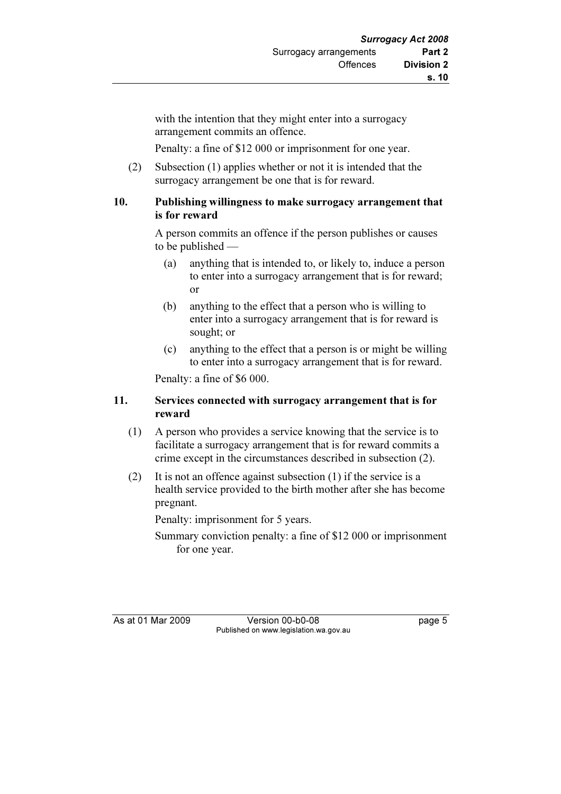with the intention that they might enter into a surrogacy arrangement commits an offence.

Penalty: a fine of \$12 000 or imprisonment for one year.

 (2) Subsection (1) applies whether or not it is intended that the surrogacy arrangement be one that is for reward.

### 10. Publishing willingness to make surrogacy arrangement that is for reward

 A person commits an offence if the person publishes or causes to be published -

- (a) anything that is intended to, or likely to, induce a person to enter into a surrogacy arrangement that is for reward; or
- (b) anything to the effect that a person who is willing to enter into a surrogacy arrangement that is for reward is sought; or
- (c) anything to the effect that a person is or might be willing to enter into a surrogacy arrangement that is for reward.

Penalty: a fine of \$6 000.

#### 11. Services connected with surrogacy arrangement that is for reward

- (1) A person who provides a service knowing that the service is to facilitate a surrogacy arrangement that is for reward commits a crime except in the circumstances described in subsection (2).
- (2) It is not an offence against subsection (1) if the service is a health service provided to the birth mother after she has become pregnant.

Penalty: imprisonment for 5 years.

 Summary conviction penalty: a fine of \$12 000 or imprisonment for one year.

As at 01 Mar 2009 Version 00-b0-08 page 5 Published on www.legislation.wa.gov.au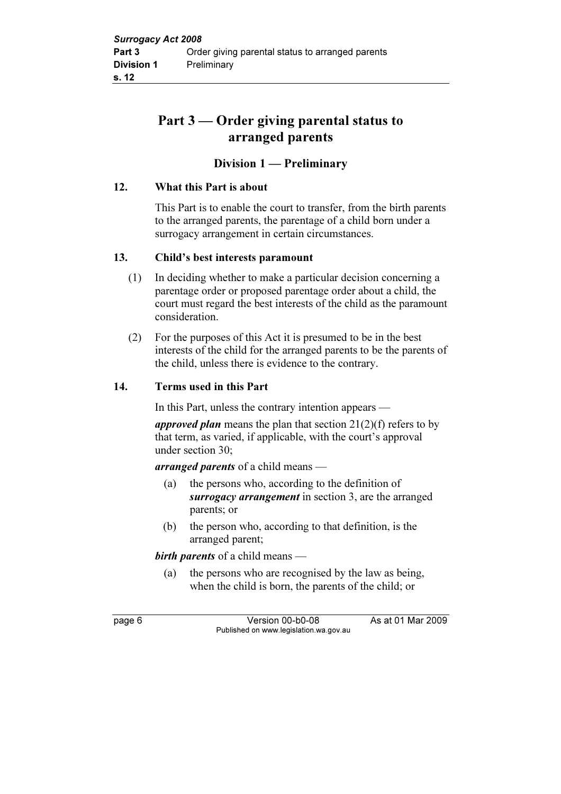## Part 3 — Order giving parental status to arranged parents

### Division 1 — Preliminary

#### 12. What this Part is about

 This Part is to enable the court to transfer, from the birth parents to the arranged parents, the parentage of a child born under a surrogacy arrangement in certain circumstances.

#### 13. Child's best interests paramount

- (1) In deciding whether to make a particular decision concerning a parentage order or proposed parentage order about a child, the court must regard the best interests of the child as the paramount consideration.
- (2) For the purposes of this Act it is presumed to be in the best interests of the child for the arranged parents to be the parents of the child, unless there is evidence to the contrary.

#### 14. Terms used in this Part

In this Part, unless the contrary intention appears —

approved plan means the plan that section  $21(2)(f)$  refers to by that term, as varied, if applicable, with the court's approval under section 30;

arranged parents of a child means —

- (a) the persons who, according to the definition of surrogacy arrangement in section 3, are the arranged parents; or
- (b) the person who, according to that definition, is the arranged parent;

birth parents of a child means —

 (a) the persons who are recognised by the law as being, when the child is born, the parents of the child; or

page 6 Version 00-b0-08 As at 01 Mar 2009 Published on www.legislation.wa.gov.au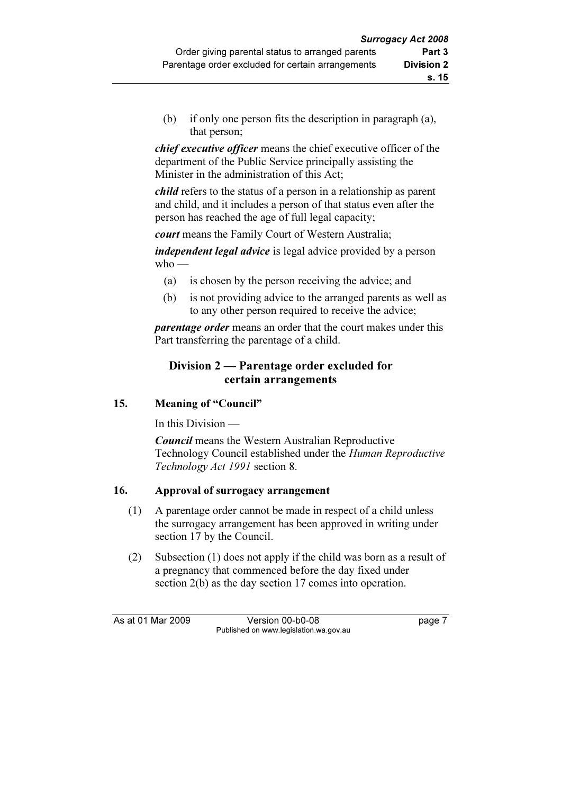(b) if only one person fits the description in paragraph (a), that person;

chief executive officer means the chief executive officer of the department of the Public Service principally assisting the Minister in the administration of this Act;

child refers to the status of a person in a relationship as parent and child, and it includes a person of that status even after the person has reached the age of full legal capacity;

court means the Family Court of Western Australia;

*independent legal advice* is legal advice provided by a person who —

- (a) is chosen by the person receiving the advice; and
- (b) is not providing advice to the arranged parents as well as to any other person required to receive the advice;

*parentage order* means an order that the court makes under this Part transferring the parentage of a child.

## Division 2 — Parentage order excluded for certain arrangements

### 15. Meaning of "Council"

In this Division —

**Council** means the Western Australian Reproductive Technology Council established under the Human Reproductive Technology Act 1991 section 8.

## 16. Approval of surrogacy arrangement

- (1) A parentage order cannot be made in respect of a child unless the surrogacy arrangement has been approved in writing under section 17 by the Council.
- (2) Subsection (1) does not apply if the child was born as a result of a pregnancy that commenced before the day fixed under section 2(b) as the day section 17 comes into operation.

As at 01 Mar 2009 Version 00-b0-08 page 7 Published on www.legislation.wa.gov.au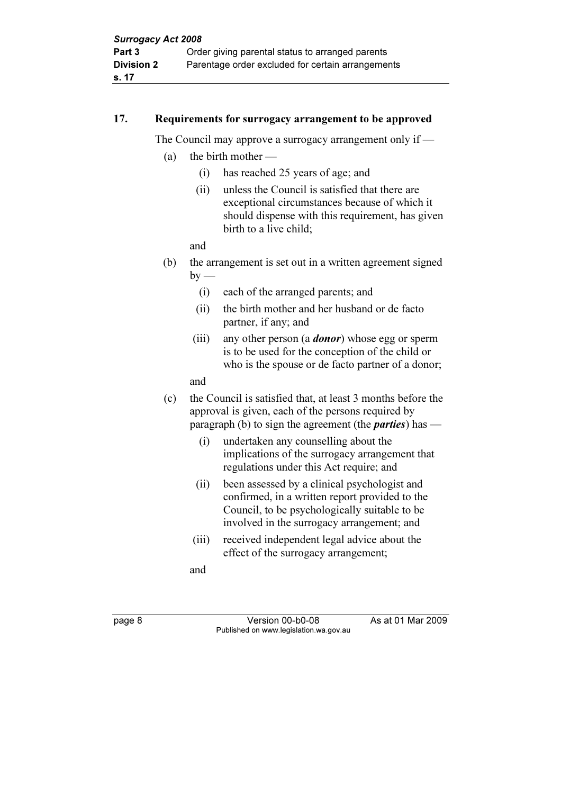#### 17. Requirements for surrogacy arrangement to be approved

The Council may approve a surrogacy arrangement only if —

- (a) the birth mother  $-$ 
	- (i) has reached 25 years of age; and
	- (ii) unless the Council is satisfied that there are exceptional circumstances because of which it should dispense with this requirement, has given birth to a live child;

and

- (b) the arrangement is set out in a written agreement signed  $by$  —
	- (i) each of the arranged parents; and
	- (ii) the birth mother and her husband or de facto partner, if any; and
	- (iii) any other person (a *donor*) whose egg or sperm is to be used for the conception of the child or who is the spouse or de facto partner of a donor;

and

- (c) the Council is satisfied that, at least 3 months before the approval is given, each of the persons required by paragraph (b) to sign the agreement (the *parties*) has  $-$ 
	- (i) undertaken any counselling about the implications of the surrogacy arrangement that regulations under this Act require; and
	- (ii) been assessed by a clinical psychologist and confirmed, in a written report provided to the Council, to be psychologically suitable to be involved in the surrogacy arrangement; and
	- (iii) received independent legal advice about the effect of the surrogacy arrangement;

and

page 8 Version 00-b0-08 As at 01 Mar 2009 Published on www.legislation.wa.gov.au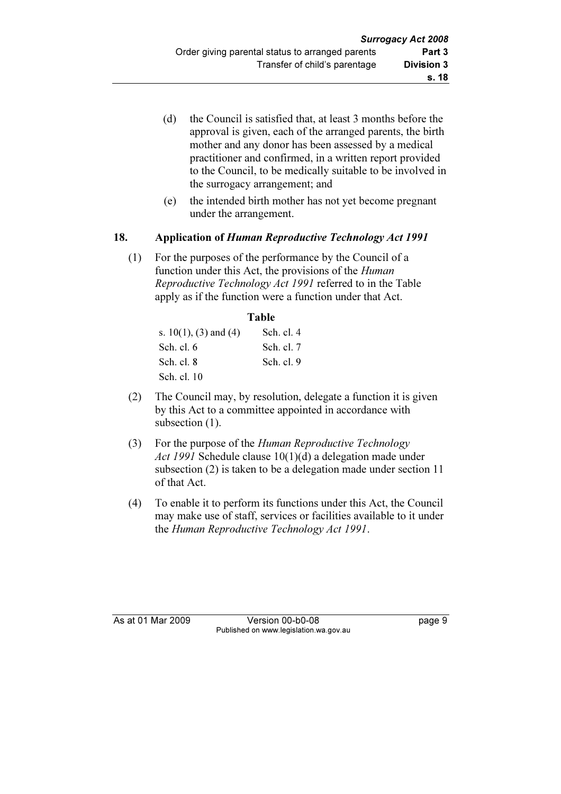- (d) the Council is satisfied that, at least 3 months before the approval is given, each of the arranged parents, the birth mother and any donor has been assessed by a medical practitioner and confirmed, in a written report provided to the Council, to be medically suitable to be involved in the surrogacy arrangement; and
- (e) the intended birth mother has not yet become pregnant under the arrangement.

#### 18. Application of Human Reproductive Technology Act 1991

 (1) For the purposes of the performance by the Council of a function under this Act, the provisions of the *Human* Reproductive Technology Act 1991 referred to in the Table apply as if the function were a function under that Act.

|                          | <b>Table</b> |  |
|--------------------------|--------------|--|
| s. $10(1)$ , (3) and (4) | Sch. cl. 4   |  |
| Sch. cl. $6$             | Sch. cl. 7   |  |
| Sch. cl. 8               | Sch. cl. 9   |  |
| Sch. cl. 10              |              |  |

- (2) The Council may, by resolution, delegate a function it is given by this Act to a committee appointed in accordance with subsection  $(1)$ .
- (3) For the purpose of the Human Reproductive Technology Act 1991 Schedule clause 10(1)(d) a delegation made under subsection (2) is taken to be a delegation made under section 11 of that Act.
- (4) To enable it to perform its functions under this Act, the Council may make use of staff, services or facilities available to it under the Human Reproductive Technology Act 1991.

As at 01 Mar 2009 Version 00-b0-08 page 9 Published on www.legislation.wa.gov.au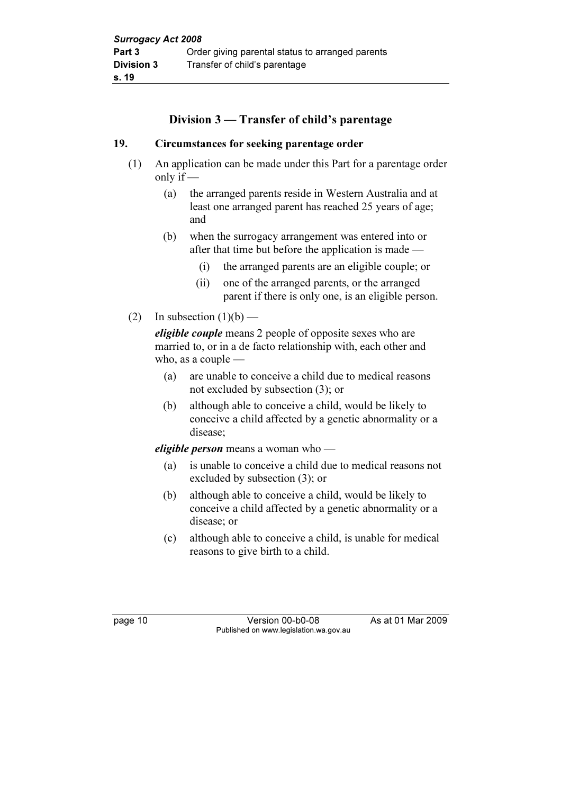## Division 3 — Transfer of child's parentage

#### 19. Circumstances for seeking parentage order

- (1) An application can be made under this Part for a parentage order only if  $-$ 
	- (a) the arranged parents reside in Western Australia and at least one arranged parent has reached 25 years of age; and
	- (b) when the surrogacy arrangement was entered into or after that time but before the application is made —
		- (i) the arranged parents are an eligible couple; or
		- (ii) one of the arranged parents, or the arranged parent if there is only one, is an eligible person.
- (2) In subsection  $(1)(b)$  —

eligible couple means 2 people of opposite sexes who are married to, or in a de facto relationship with, each other and who, as a couple —

- (a) are unable to conceive a child due to medical reasons not excluded by subsection (3); or
- (b) although able to conceive a child, would be likely to conceive a child affected by a genetic abnormality or a disease;

eligible person means a woman who —

- (a) is unable to conceive a child due to medical reasons not excluded by subsection (3); or
- (b) although able to conceive a child, would be likely to conceive a child affected by a genetic abnormality or a disease; or
- (c) although able to conceive a child, is unable for medical reasons to give birth to a child.

page 10 Version 00-b0-08 As at 01 Mar 2009 Published on www.legislation.wa.gov.au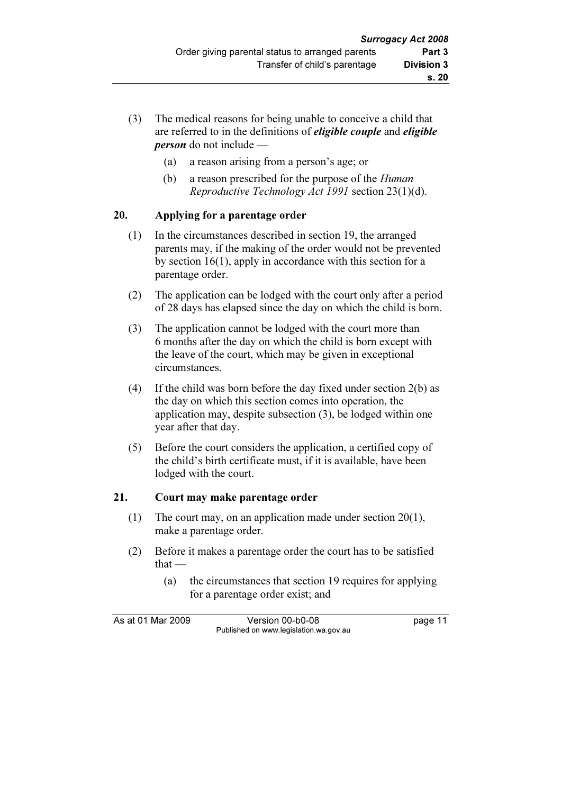- (3) The medical reasons for being unable to conceive a child that are referred to in the definitions of *eligible couple* and *eligible* person do not include —
	- (a) a reason arising from a person's age; or
	- (b) a reason prescribed for the purpose of the Human Reproductive Technology Act 1991 section 23(1)(d).

## 20. Applying for a parentage order

- (1) In the circumstances described in section 19, the arranged parents may, if the making of the order would not be prevented by section 16(1), apply in accordance with this section for a parentage order.
- (2) The application can be lodged with the court only after a period of 28 days has elapsed since the day on which the child is born.
- (3) The application cannot be lodged with the court more than 6 months after the day on which the child is born except with the leave of the court, which may be given in exceptional circumstances.
- (4) If the child was born before the day fixed under section 2(b) as the day on which this section comes into operation, the application may, despite subsection (3), be lodged within one year after that day.
- (5) Before the court considers the application, a certified copy of the child's birth certificate must, if it is available, have been lodged with the court.

#### 21. Court may make parentage order

- (1) The court may, on an application made under section 20(1), make a parentage order.
- (2) Before it makes a parentage order the court has to be satisfied that —
	- (a) the circumstances that section 19 requires for applying for a parentage order exist; and

As at 01 Mar 2009 Version 00-b0-08 page 11 Published on www.legislation.wa.gov.au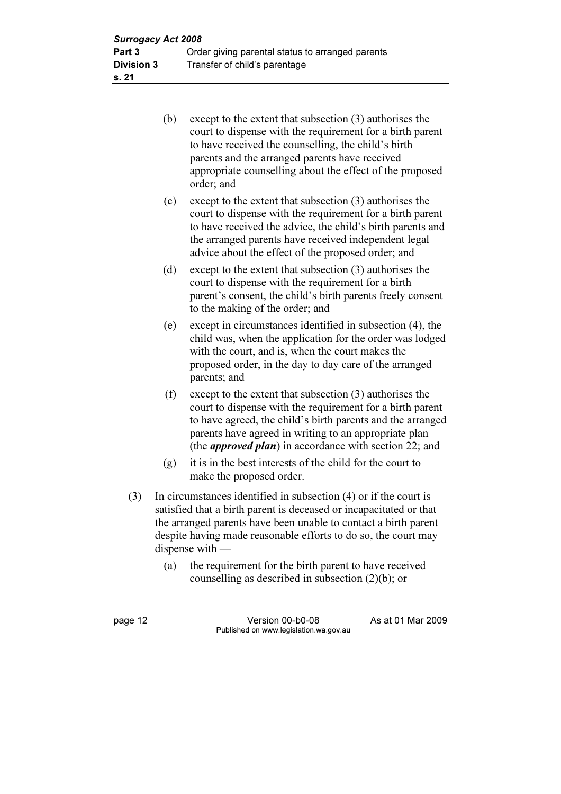| (b) | except to the extent that subsection (3) authorises the<br>court to dispense with the requirement for a birth parent<br>to have received the counselling, the child's birth<br>parents and the arranged parents have received<br>appropriate counselling about the effect of the proposed<br>order; and |
|-----|---------------------------------------------------------------------------------------------------------------------------------------------------------------------------------------------------------------------------------------------------------------------------------------------------------|
| (c) | except to the extent that subsection (3) authorises the<br>court to dispense with the requirement for a birth parent<br>to have received the advice, the child's birth parents and<br>the arranged parents have received independent legal<br>advice about the effect of the proposed order; and        |
| (d) | except to the extent that subsection $(3)$ authorises the<br>court to dispense with the requirement for a birth<br>parent's consent, the child's birth parents freely consent<br>to the making of the order; and                                                                                        |
| (e) | except in circumstances identified in subsection (4), the<br>child was, when the application for the order was lodged<br>with the court, and is, when the court makes the<br>proposed order, in the day to day care of the arranged<br>parents; and                                                     |
| (f) | except to the extent that subsection (3) authorises the<br>court to dispense with the requirement for a birth parent<br>to have agreed, the child's birth parents and the arranged<br>parents have agreed in writing to an appropriate plan                                                             |

 (g) it is in the best interests of the child for the court to make the proposed order.

(the approved plan) in accordance with section 22; and

- (3) In circumstances identified in subsection (4) or if the court is satisfied that a birth parent is deceased or incapacitated or that the arranged parents have been unable to contact a birth parent despite having made reasonable efforts to do so, the court may dispense with —
	- (a) the requirement for the birth parent to have received counselling as described in subsection (2)(b); or

page 12 Version 00-b0-08 As at 01 Mar 2009 Published on www.legislation.wa.gov.au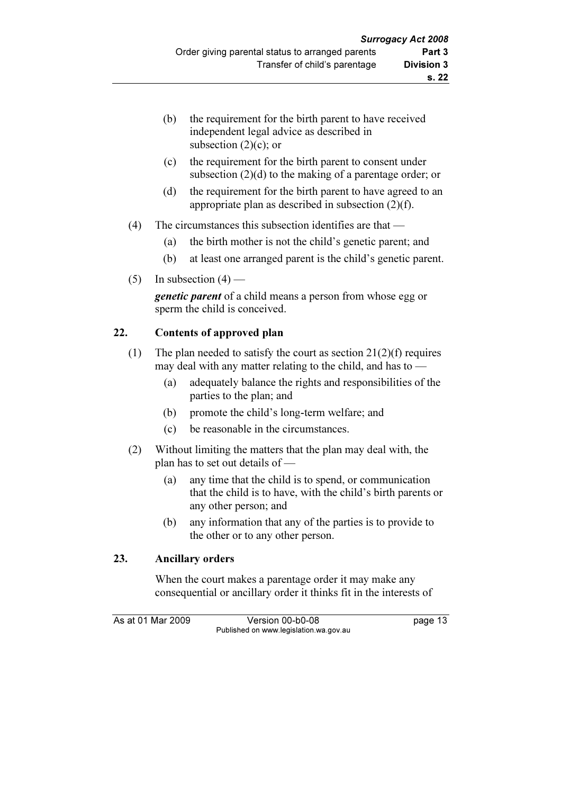- (b) the requirement for the birth parent to have received independent legal advice as described in subsection  $(2)(c)$ ; or
- (c) the requirement for the birth parent to consent under subsection (2)(d) to the making of a parentage order; or
- (d) the requirement for the birth parent to have agreed to an appropriate plan as described in subsection (2)(f).
- (4) The circumstances this subsection identifies are that
	- (a) the birth mother is not the child's genetic parent; and
	- (b) at least one arranged parent is the child's genetic parent.
- (5) In subsection  $(4)$  —

**genetic parent** of a child means a person from whose egg or sperm the child is conceived.

## 22. Contents of approved plan

- (1) The plan needed to satisfy the court as section  $21(2)(f)$  requires may deal with any matter relating to the child, and has to —
	- (a) adequately balance the rights and responsibilities of the parties to the plan; and
	- (b) promote the child's long-term welfare; and
	- (c) be reasonable in the circumstances.
- (2) Without limiting the matters that the plan may deal with, the plan has to set out details of —
	- (a) any time that the child is to spend, or communication that the child is to have, with the child's birth parents or any other person; and
	- (b) any information that any of the parties is to provide to the other or to any other person.

## 23. Ancillary orders

 When the court makes a parentage order it may make any consequential or ancillary order it thinks fit in the interests of

As at 01 Mar 2009 Version 00-b0-08 page 13 Published on www.legislation.wa.gov.au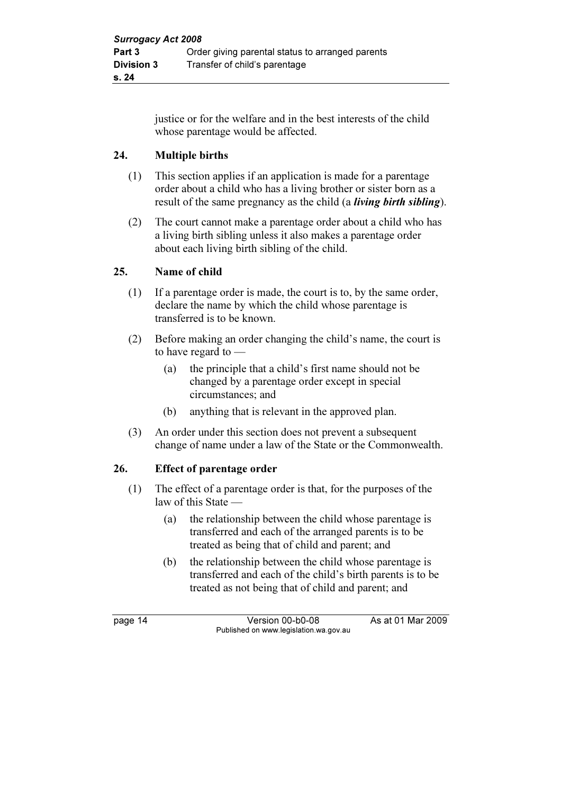justice or for the welfare and in the best interests of the child whose parentage would be affected.

## 24. Multiple births

- (1) This section applies if an application is made for a parentage order about a child who has a living brother or sister born as a result of the same pregnancy as the child (a *living birth sibling*).
- (2) The court cannot make a parentage order about a child who has a living birth sibling unless it also makes a parentage order about each living birth sibling of the child.

## 25. Name of child

- (1) If a parentage order is made, the court is to, by the same order, declare the name by which the child whose parentage is transferred is to be known.
- (2) Before making an order changing the child's name, the court is to have regard to —
	- (a) the principle that a child's first name should not be changed by a parentage order except in special circumstances; and
	- (b) anything that is relevant in the approved plan.
- (3) An order under this section does not prevent a subsequent change of name under a law of the State or the Commonwealth.

#### 26. Effect of parentage order

- (1) The effect of a parentage order is that, for the purposes of the law of this State —
	- (a) the relationship between the child whose parentage is transferred and each of the arranged parents is to be treated as being that of child and parent; and
	- (b) the relationship between the child whose parentage is transferred and each of the child's birth parents is to be treated as not being that of child and parent; and

page 14 Version 00-b0-08 As at 01 Mar 2009 Published on www.legislation.wa.gov.au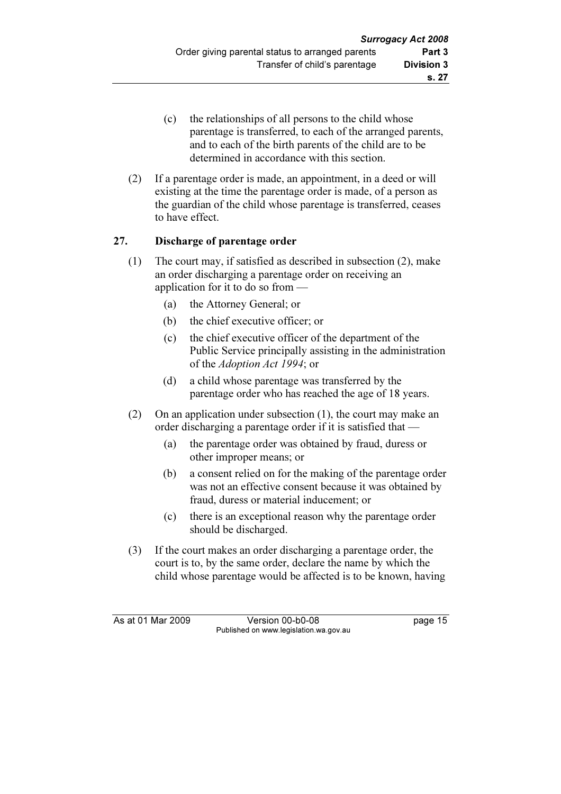- (c) the relationships of all persons to the child whose parentage is transferred, to each of the arranged parents, and to each of the birth parents of the child are to be determined in accordance with this section.
- (2) If a parentage order is made, an appointment, in a deed or will existing at the time the parentage order is made, of a person as the guardian of the child whose parentage is transferred, ceases to have effect.

## 27. Discharge of parentage order

- (1) The court may, if satisfied as described in subsection (2), make an order discharging a parentage order on receiving an application for it to do so from —
	- (a) the Attorney General; or
	- (b) the chief executive officer; or
	- (c) the chief executive officer of the department of the Public Service principally assisting in the administration of the Adoption Act 1994; or
	- (d) a child whose parentage was transferred by the parentage order who has reached the age of 18 years.
- (2) On an application under subsection (1), the court may make an order discharging a parentage order if it is satisfied that —
	- (a) the parentage order was obtained by fraud, duress or other improper means; or
	- (b) a consent relied on for the making of the parentage order was not an effective consent because it was obtained by fraud, duress or material inducement; or
	- (c) there is an exceptional reason why the parentage order should be discharged.
- (3) If the court makes an order discharging a parentage order, the court is to, by the same order, declare the name by which the child whose parentage would be affected is to be known, having

As at 01 Mar 2009 Version 00-b0-08 page 15 Published on www.legislation.wa.gov.au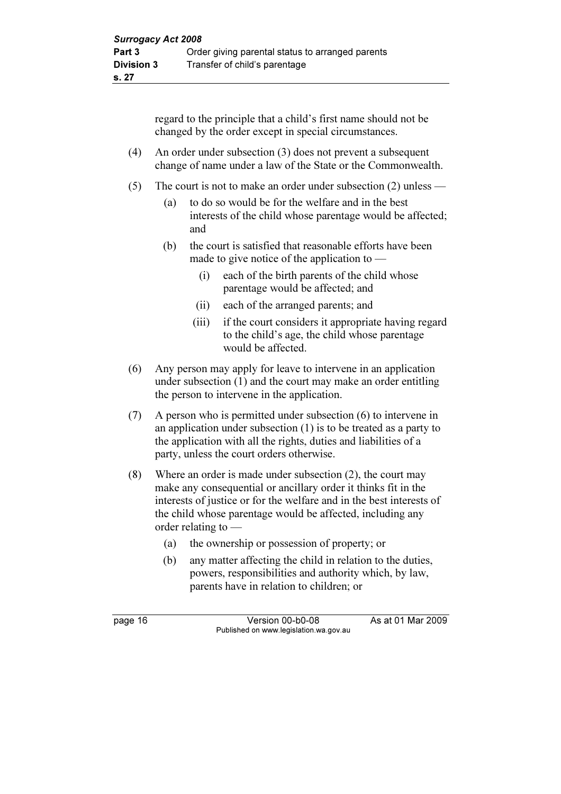regard to the principle that a child's first name should not be changed by the order except in special circumstances.

- (4) An order under subsection (3) does not prevent a subsequent change of name under a law of the State or the Commonwealth.
- (5) The court is not to make an order under subsection (2) unless
	- (a) to do so would be for the welfare and in the best interests of the child whose parentage would be affected; and
	- (b) the court is satisfied that reasonable efforts have been made to give notice of the application to —
		- (i) each of the birth parents of the child whose parentage would be affected; and
		- (ii) each of the arranged parents; and
		- (iii) if the court considers it appropriate having regard to the child's age, the child whose parentage would be affected.
- (6) Any person may apply for leave to intervene in an application under subsection (1) and the court may make an order entitling the person to intervene in the application.
- (7) A person who is permitted under subsection (6) to intervene in an application under subsection (1) is to be treated as a party to the application with all the rights, duties and liabilities of a party, unless the court orders otherwise.
- (8) Where an order is made under subsection (2), the court may make any consequential or ancillary order it thinks fit in the interests of justice or for the welfare and in the best interests of the child whose parentage would be affected, including any order relating to —
	- (a) the ownership or possession of property; or
	- (b) any matter affecting the child in relation to the duties, powers, responsibilities and authority which, by law, parents have in relation to children; or

page 16 **Version 00-b0-08** As at 01 Mar 2009 Published on www.legislation.wa.gov.au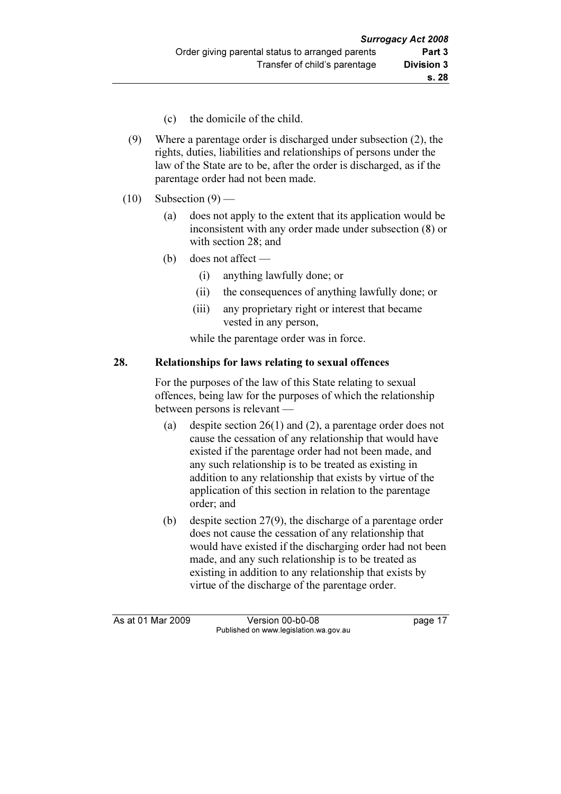- (c) the domicile of the child.
- (9) Where a parentage order is discharged under subsection (2), the rights, duties, liabilities and relationships of persons under the law of the State are to be, after the order is discharged, as if the parentage order had not been made.
- $(10)$  Subsection  $(9)$ 
	- (a) does not apply to the extent that its application would be inconsistent with any order made under subsection (8) or with section 28; and
	- (b) does not affect
		- (i) anything lawfully done; or
		- (ii) the consequences of anything lawfully done; or
		- (iii) any proprietary right or interest that became vested in any person,

while the parentage order was in force.

#### 28. Relationships for laws relating to sexual offences

 For the purposes of the law of this State relating to sexual offences, being law for the purposes of which the relationship between persons is relevant —

- (a) despite section 26(1) and (2), a parentage order does not cause the cessation of any relationship that would have existed if the parentage order had not been made, and any such relationship is to be treated as existing in addition to any relationship that exists by virtue of the application of this section in relation to the parentage order; and
- (b) despite section 27(9), the discharge of a parentage order does not cause the cessation of any relationship that would have existed if the discharging order had not been made, and any such relationship is to be treated as existing in addition to any relationship that exists by virtue of the discharge of the parentage order.

As at 01 Mar 2009 Version 00-b0-08 page 17 Published on www.legislation.wa.gov.au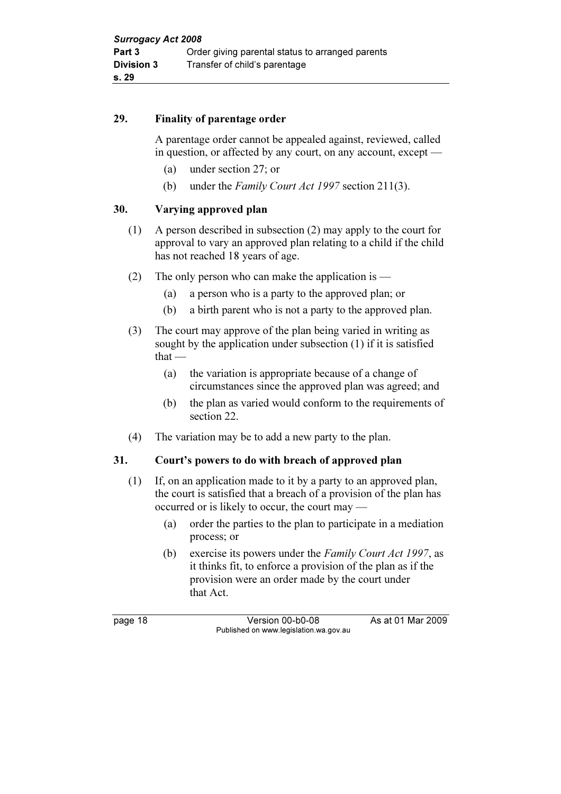#### 29. Finality of parentage order

 A parentage order cannot be appealed against, reviewed, called in question, or affected by any court, on any account, except —

- (a) under section 27; or
- (b) under the Family Court Act 1997 section 211(3).

#### 30. Varying approved plan

- (1) A person described in subsection (2) may apply to the court for approval to vary an approved plan relating to a child if the child has not reached 18 years of age.
- (2) The only person who can make the application is  $-$ 
	- (a) a person who is a party to the approved plan; or
	- (b) a birth parent who is not a party to the approved plan.
- (3) The court may approve of the plan being varied in writing as sought by the application under subsection (1) if it is satisfied that —
	- (a) the variation is appropriate because of a change of circumstances since the approved plan was agreed; and
	- (b) the plan as varied would conform to the requirements of section 22.
- (4) The variation may be to add a new party to the plan.

#### 31. Court's powers to do with breach of approved plan

- (1) If, on an application made to it by a party to an approved plan, the court is satisfied that a breach of a provision of the plan has occurred or is likely to occur, the court may —
	- (a) order the parties to the plan to participate in a mediation process; or
	- (b) exercise its powers under the Family Court Act 1997, as it thinks fit, to enforce a provision of the plan as if the provision were an order made by the court under that Act.

page 18 Version 00-b0-08 As at 01 Mar 2009 Published on www.legislation.wa.gov.au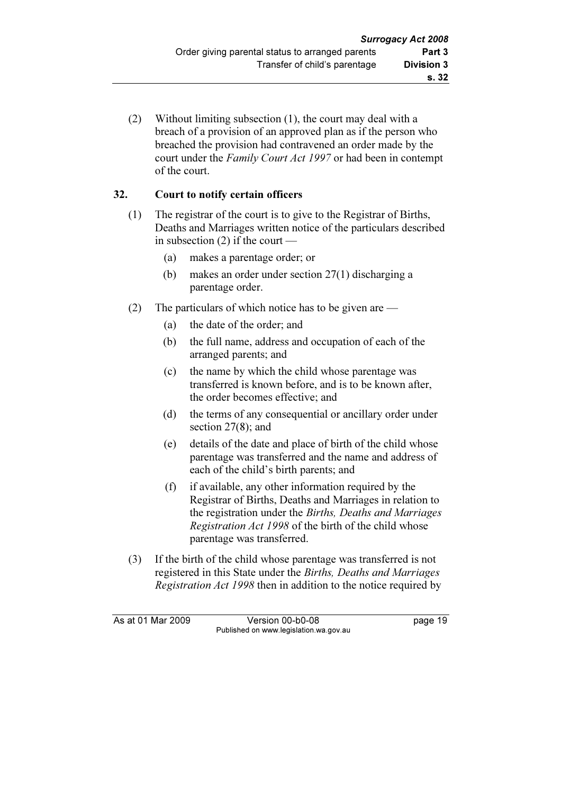(2) Without limiting subsection (1), the court may deal with a breach of a provision of an approved plan as if the person who breached the provision had contravened an order made by the court under the Family Court Act 1997 or had been in contempt of the court.

## 32. Court to notify certain officers

- (1) The registrar of the court is to give to the Registrar of Births, Deaths and Marriages written notice of the particulars described in subsection (2) if the court —
	- (a) makes a parentage order; or
	- (b) makes an order under section 27(1) discharging a parentage order.
- (2) The particulars of which notice has to be given are
	- (a) the date of the order; and
	- (b) the full name, address and occupation of each of the arranged parents; and
	- (c) the name by which the child whose parentage was transferred is known before, and is to be known after, the order becomes effective; and
	- (d) the terms of any consequential or ancillary order under section 27(8); and
	- (e) details of the date and place of birth of the child whose parentage was transferred and the name and address of each of the child's birth parents; and
	- (f) if available, any other information required by the Registrar of Births, Deaths and Marriages in relation to the registration under the Births, Deaths and Marriages Registration Act 1998 of the birth of the child whose parentage was transferred.
- (3) If the birth of the child whose parentage was transferred is not registered in this State under the Births, Deaths and Marriages Registration Act 1998 then in addition to the notice required by

As at 01 Mar 2009 Version 00-b0-08 page 19 Published on www.legislation.wa.gov.au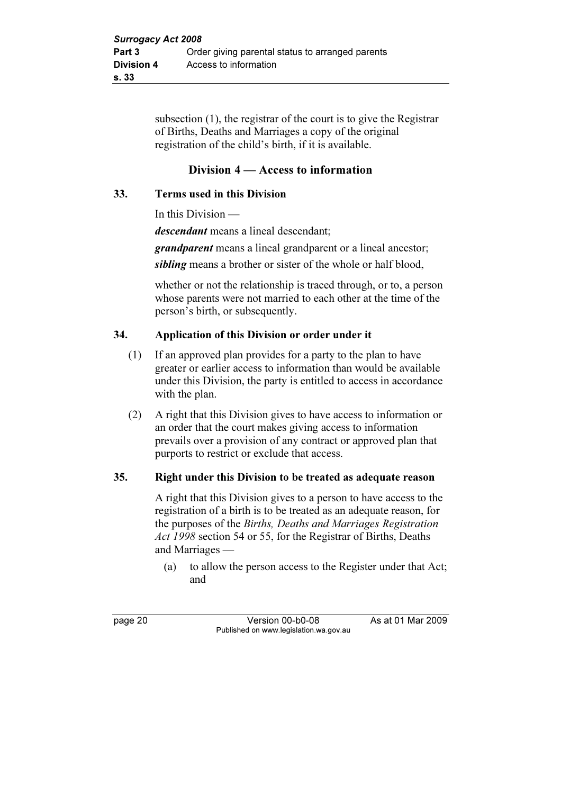subsection (1), the registrar of the court is to give the Registrar of Births, Deaths and Marriages a copy of the original registration of the child's birth, if it is available.

## Division 4 — Access to information

### 33. Terms used in this Division

In this Division —

descendant means a lineal descendant;

grandparent means a lineal grandparent or a lineal ancestor;

sibling means a brother or sister of the whole or half blood,

 whether or not the relationship is traced through, or to, a person whose parents were not married to each other at the time of the person's birth, or subsequently.

#### 34. Application of this Division or order under it

- (1) If an approved plan provides for a party to the plan to have greater or earlier access to information than would be available under this Division, the party is entitled to access in accordance with the plan.
- (2) A right that this Division gives to have access to information or an order that the court makes giving access to information prevails over a provision of any contract or approved plan that purports to restrict or exclude that access.

#### 35. Right under this Division to be treated as adequate reason

 A right that this Division gives to a person to have access to the registration of a birth is to be treated as an adequate reason, for the purposes of the Births, Deaths and Marriages Registration Act 1998 section 54 or 55, for the Registrar of Births, Deaths and Marriages —

 (a) to allow the person access to the Register under that Act; and

page 20 Version 00-b0-08 As at 01 Mar 2009 Published on www.legislation.wa.gov.au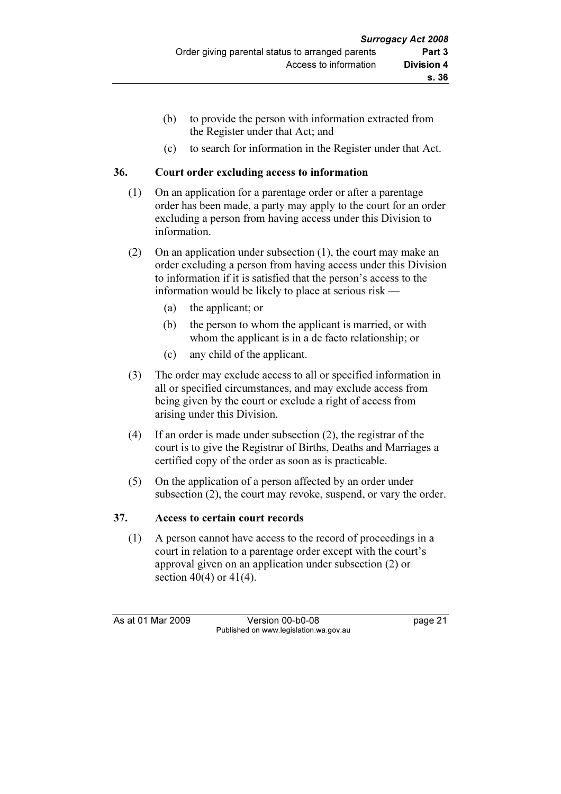- (b) to provide the person with information extracted from the Register under that Act; and
- (c) to search for information in the Register under that Act.

#### 36. Court order excluding access to information

- (1) On an application for a parentage order or after a parentage order has been made, a party may apply to the court for an order excluding a person from having access under this Division to information.
- (2) On an application under subsection (1), the court may make an order excluding a person from having access under this Division to information if it is satisfied that the person's access to the information would be likely to place at serious risk —
	- (a) the applicant; or
	- (b) the person to whom the applicant is married, or with whom the applicant is in a de facto relationship; or
	- (c) any child of the applicant.
- (3) The order may exclude access to all or specified information in all or specified circumstances, and may exclude access from being given by the court or exclude a right of access from arising under this Division.
- (4) If an order is made under subsection (2), the registrar of the court is to give the Registrar of Births, Deaths and Marriages a certified copy of the order as soon as is practicable.
- (5) On the application of a person affected by an order under subsection (2), the court may revoke, suspend, or vary the order.

## 37. Access to certain court records

 (1) A person cannot have access to the record of proceedings in a court in relation to a parentage order except with the court's approval given on an application under subsection (2) or section 40(4) or 41(4).

As at 01 Mar 2009 Version 00-b0-08 page 21 Published on www.legislation.wa.gov.au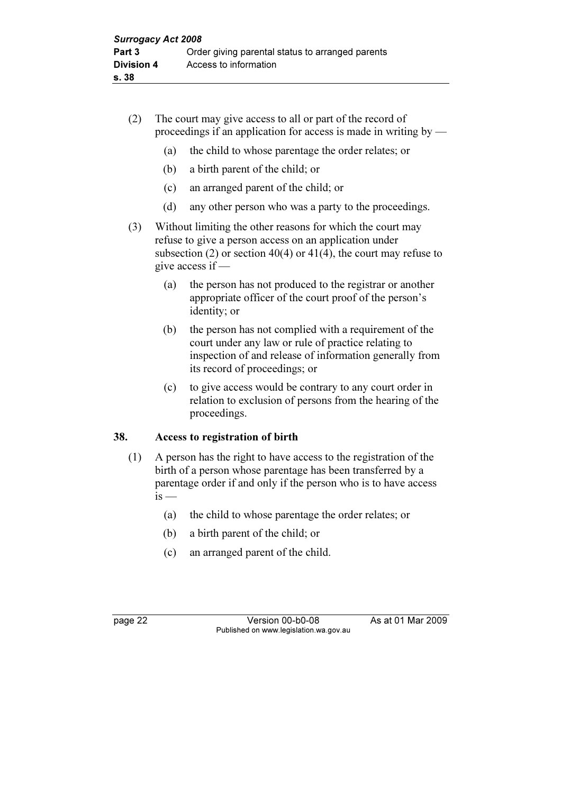- (2) The court may give access to all or part of the record of proceedings if an application for access is made in writing by  $-$ 
	- (a) the child to whose parentage the order relates; or
	- (b) a birth parent of the child; or
	- (c) an arranged parent of the child; or
	- (d) any other person who was a party to the proceedings.
- (3) Without limiting the other reasons for which the court may refuse to give a person access on an application under subsection (2) or section  $40(4)$  or  $41(4)$ , the court may refuse to give access if —
	- (a) the person has not produced to the registrar or another appropriate officer of the court proof of the person's identity; or
	- (b) the person has not complied with a requirement of the court under any law or rule of practice relating to inspection of and release of information generally from its record of proceedings; or
	- (c) to give access would be contrary to any court order in relation to exclusion of persons from the hearing of the proceedings.

#### 38. Access to registration of birth

- (1) A person has the right to have access to the registration of the birth of a person whose parentage has been transferred by a parentage order if and only if the person who is to have access  $is -$ 
	- (a) the child to whose parentage the order relates; or
	- (b) a birth parent of the child; or
	- (c) an arranged parent of the child.

page 22 Version 00-b0-08 As at 01 Mar 2009 Published on www.legislation.wa.gov.au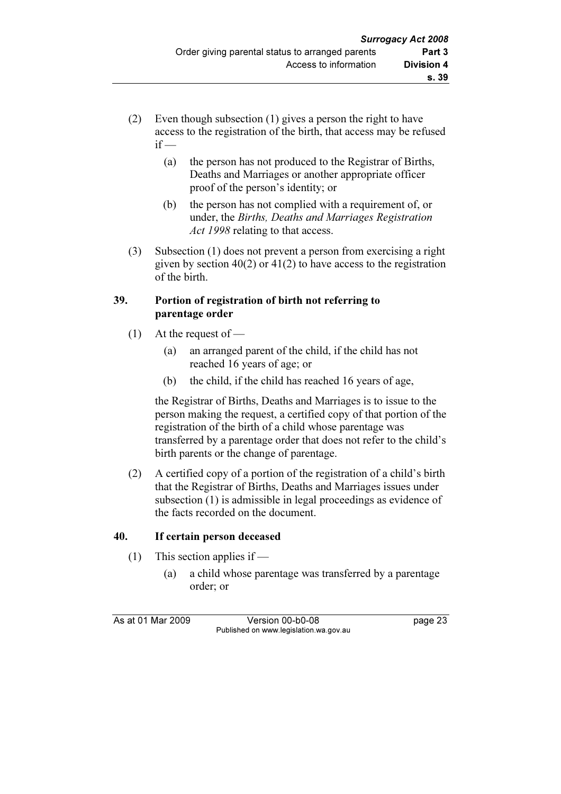- (2) Even though subsection (1) gives a person the right to have access to the registration of the birth, that access may be refused  $if -$ 
	- (a) the person has not produced to the Registrar of Births, Deaths and Marriages or another appropriate officer proof of the person's identity; or
	- (b) the person has not complied with a requirement of, or under, the Births, Deaths and Marriages Registration Act 1998 relating to that access.
- (3) Subsection (1) does not prevent a person from exercising a right given by section  $40(2)$  or  $41(2)$  to have access to the registration of the birth.

## 39. Portion of registration of birth not referring to parentage order

- (1) At the request of  $-$ 
	- (a) an arranged parent of the child, if the child has not reached 16 years of age; or
	- (b) the child, if the child has reached 16 years of age,

 the Registrar of Births, Deaths and Marriages is to issue to the person making the request, a certified copy of that portion of the registration of the birth of a child whose parentage was transferred by a parentage order that does not refer to the child's birth parents or the change of parentage.

 (2) A certified copy of a portion of the registration of a child's birth that the Registrar of Births, Deaths and Marriages issues under subsection (1) is admissible in legal proceedings as evidence of the facts recorded on the document.

## 40. If certain person deceased

- (1) This section applies if
	- (a) a child whose parentage was transferred by a parentage order; or

As at 01 Mar 2009 Version 00-b0-08 page 23 Published on www.legislation.wa.gov.au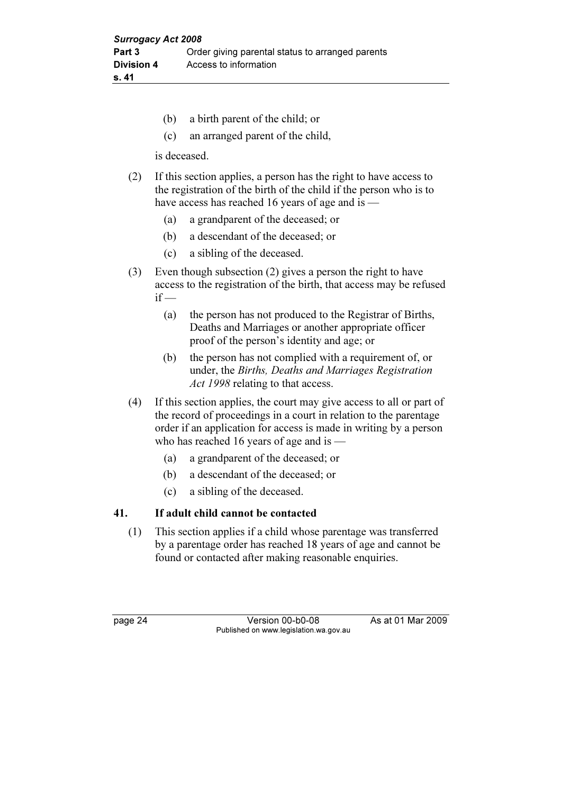- (b) a birth parent of the child; or
- (c) an arranged parent of the child,

is deceased.

- (2) If this section applies, a person has the right to have access to the registration of the birth of the child if the person who is to have access has reached 16 years of age and is —
	- (a) a grandparent of the deceased; or
	- (b) a descendant of the deceased; or
	- (c) a sibling of the deceased.
- (3) Even though subsection (2) gives a person the right to have access to the registration of the birth, that access may be refused  $if -$ 
	- (a) the person has not produced to the Registrar of Births, Deaths and Marriages or another appropriate officer proof of the person's identity and age; or
	- (b) the person has not complied with a requirement of, or under, the Births, Deaths and Marriages Registration Act 1998 relating to that access.
- (4) If this section applies, the court may give access to all or part of the record of proceedings in a court in relation to the parentage order if an application for access is made in writing by a person who has reached 16 years of age and is —
	- (a) a grandparent of the deceased; or
	- (b) a descendant of the deceased; or
	- (c) a sibling of the deceased.

#### 41. If adult child cannot be contacted

 (1) This section applies if a child whose parentage was transferred by a parentage order has reached 18 years of age and cannot be found or contacted after making reasonable enquiries.

page 24 Version 00-b0-08 As at 01 Mar 2009 Published on www.legislation.wa.gov.au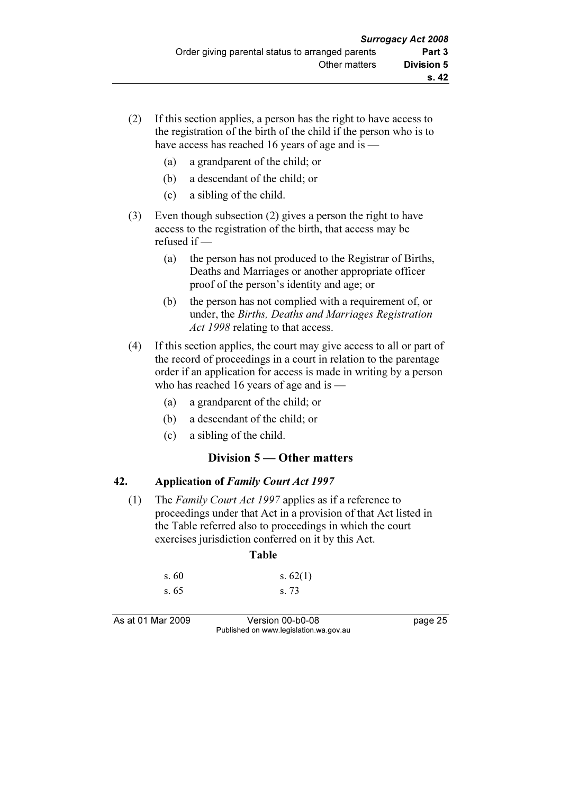- (2) If this section applies, a person has the right to have access to the registration of the birth of the child if the person who is to have access has reached 16 years of age and is —
	- (a) a grandparent of the child; or
	- (b) a descendant of the child; or
	- (c) a sibling of the child.
- (3) Even though subsection (2) gives a person the right to have access to the registration of the birth, that access may be refused if —
	- (a) the person has not produced to the Registrar of Births, Deaths and Marriages or another appropriate officer proof of the person's identity and age; or
	- (b) the person has not complied with a requirement of, or under, the Births, Deaths and Marriages Registration Act 1998 relating to that access.
- (4) If this section applies, the court may give access to all or part of the record of proceedings in a court in relation to the parentage order if an application for access is made in writing by a person who has reached 16 years of age and is —
	- (a) a grandparent of the child; or
	- (b) a descendant of the child; or
	- (c) a sibling of the child.

## Division 5 — Other matters

#### 42. Application of Family Court Act 1997

 (1) The Family Court Act 1997 applies as if a reference to proceedings under that Act in a provision of that Act listed in the Table referred also to proceedings in which the court exercises jurisdiction conferred on it by this Act.

#### Table

| s.60 | s. $62(1)$ |
|------|------------|
| s.65 | s. 73      |

As at 01 Mar 2009 Version 00-b0-08 page 25 Published on www.legislation.wa.gov.au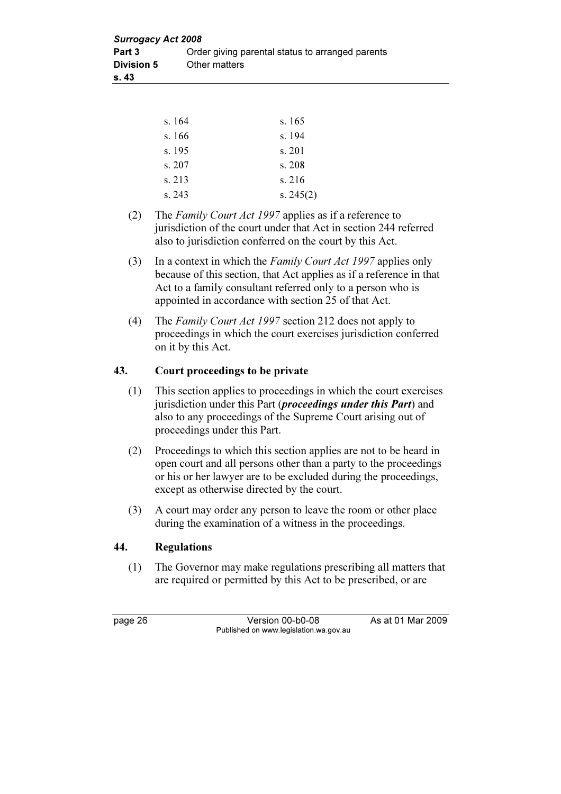| <b>Surrogacy Act 2008</b> |                                                  |  |  |
|---------------------------|--------------------------------------------------|--|--|
| Part 3                    | Order giving parental status to arranged parents |  |  |
| <b>Division 5</b>         | Other matters                                    |  |  |
| s. 43                     |                                                  |  |  |

| s. 164 | s. 165      |
|--------|-------------|
| s.166  | s. 194      |
| s. 195 | s. 201      |
| s. 207 | s. 208      |
| s. 213 | s. 216      |
| s.243  | s. $245(2)$ |

- (2) The Family Court Act 1997 applies as if a reference to jurisdiction of the court under that Act in section 244 referred also to jurisdiction conferred on the court by this Act.
- (3) In a context in which the Family Court Act 1997 applies only because of this section, that Act applies as if a reference in that Act to a family consultant referred only to a person who is appointed in accordance with section 25 of that Act.
- (4) The Family Court Act 1997 section 212 does not apply to proceedings in which the court exercises jurisdiction conferred on it by this Act.

#### 43. Court proceedings to be private

- (1) This section applies to proceedings in which the court exercises jurisdiction under this Part (*proceedings under this Part*) and also to any proceedings of the Supreme Court arising out of proceedings under this Part.
- (2) Proceedings to which this section applies are not to be heard in open court and all persons other than a party to the proceedings or his or her lawyer are to be excluded during the proceedings, except as otherwise directed by the court.
- (3) A court may order any person to leave the room or other place during the examination of a witness in the proceedings.

#### 44. Regulations

 (1) The Governor may make regulations prescribing all matters that are required or permitted by this Act to be prescribed, or are

page 26 Version 00-b0-08 As at 01 Mar 2009 Published on www.legislation.wa.gov.au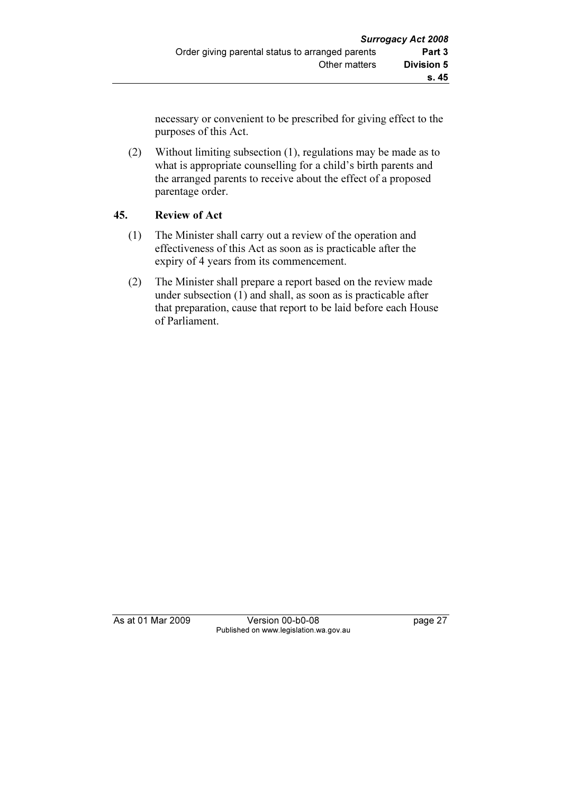necessary or convenient to be prescribed for giving effect to the purposes of this Act.

 (2) Without limiting subsection (1), regulations may be made as to what is appropriate counselling for a child's birth parents and the arranged parents to receive about the effect of a proposed parentage order.

## 45. Review of Act

- (1) The Minister shall carry out a review of the operation and effectiveness of this Act as soon as is practicable after the expiry of 4 years from its commencement.
- (2) The Minister shall prepare a report based on the review made under subsection (1) and shall, as soon as is practicable after that preparation, cause that report to be laid before each House of Parliament.

As at 01 Mar 2009 Version 00-b0-08 page 27 Published on www.legislation.wa.gov.au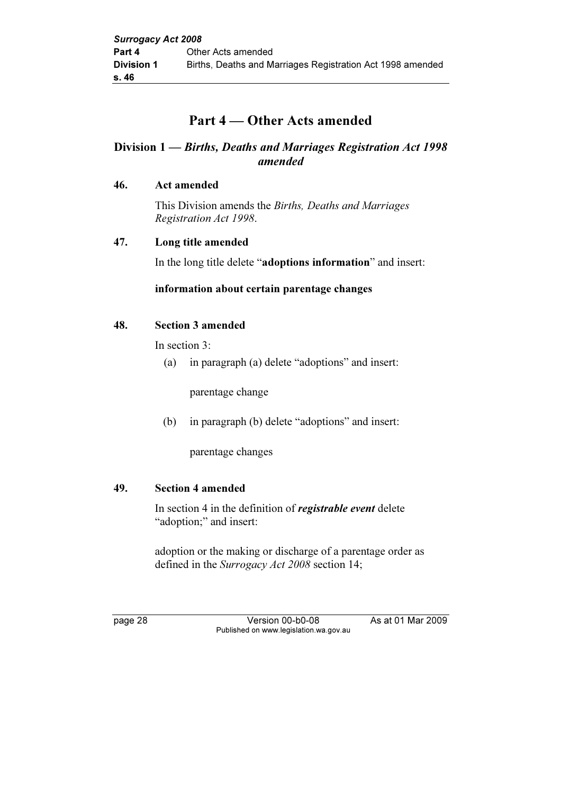## Part 4 — Other Acts amended

## Division 1 — Births, Deaths and Marriages Registration Act 1998 amended

#### 46. Act amended

 This Division amends the Births, Deaths and Marriages Registration Act 1998.

#### 47. Long title amended

In the long title delete "adoptions information" and insert:

#### information about certain parentage changes

#### 48. Section 3 amended

In section 3:

(a) in paragraph (a) delete "adoptions" and insert:

parentage change

(b) in paragraph (b) delete "adoptions" and insert:

parentage changes

#### 49. Section 4 amended

In section 4 in the definition of *registrable event* delete "adoption;" and insert:

 adoption or the making or discharge of a parentage order as defined in the Surrogacy Act 2008 section 14;

page 28 Version 00-b0-08 As at 01 Mar 2009 Published on www.legislation.wa.gov.au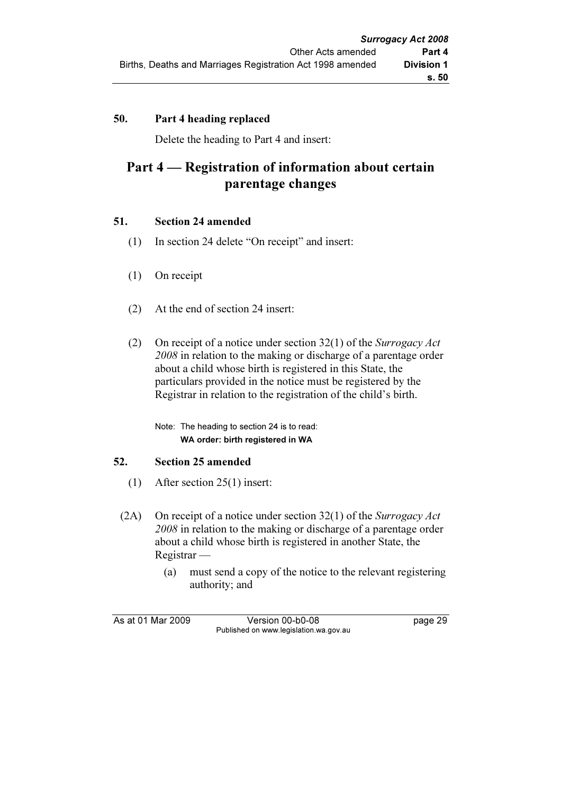## 50. Part 4 heading replaced

Delete the heading to Part 4 and insert:

## Part 4 — Registration of information about certain parentage changes

#### 51. Section 24 amended

- (1) In section 24 delete "On receipt" and insert:
- (1) On receipt
- (2) At the end of section 24 insert:
- (2) On receipt of a notice under section  $32(1)$  of the Surrogacy Act 2008 in relation to the making or discharge of a parentage order about a child whose birth is registered in this State, the particulars provided in the notice must be registered by the Registrar in relation to the registration of the child's birth.

 Note: The heading to section 24 is to read: WA order: birth registered in WA

#### 52. Section 25 amended

- (1) After section 25(1) insert:
- (2A) On receipt of a notice under section 32(1) of the Surrogacy Act 2008 in relation to the making or discharge of a parentage order about a child whose birth is registered in another State, the Registrar —
	- (a) must send a copy of the notice to the relevant registering authority; and

As at 01 Mar 2009 Version 00-b0-08 page 29 Published on www.legislation.wa.gov.au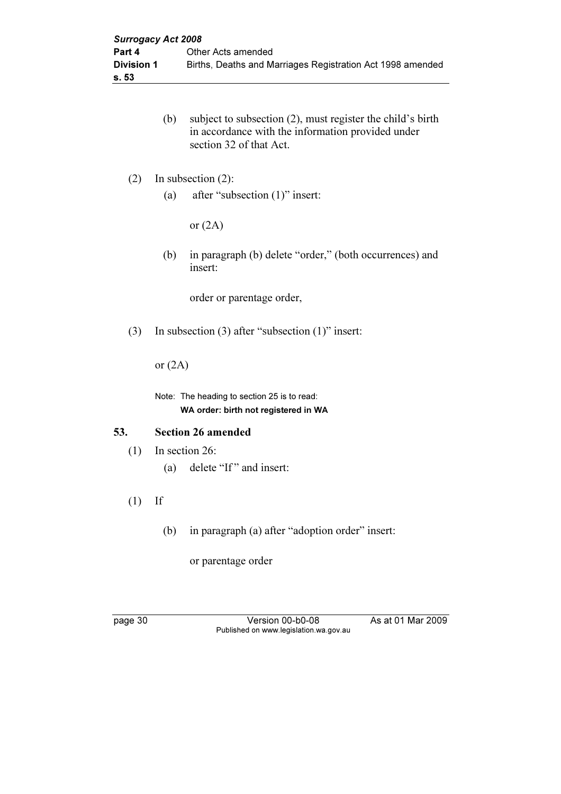- (b) subject to subsection (2), must register the child's birth in accordance with the information provided under section 32 of that Act.
- (2) In subsection (2):
	- (a) after "subsection (1)" insert:

or  $(2A)$ 

 (b) in paragraph (b) delete "order," (both occurrences) and insert:

order or parentage order,

(3) In subsection (3) after "subsection (1)" insert:

or  $(2A)$ 

 Note: The heading to section 25 is to read: WA order: birth not registered in WA

#### 53. Section 26 amended

- (1) In section 26:
	- (a) delete "If" and insert:
- $(1)$  If
	- (b) in paragraph (a) after "adoption order" insert:

or parentage order

page 30 Version 00-b0-08 As at 01 Mar 2009 Published on www.legislation.wa.gov.au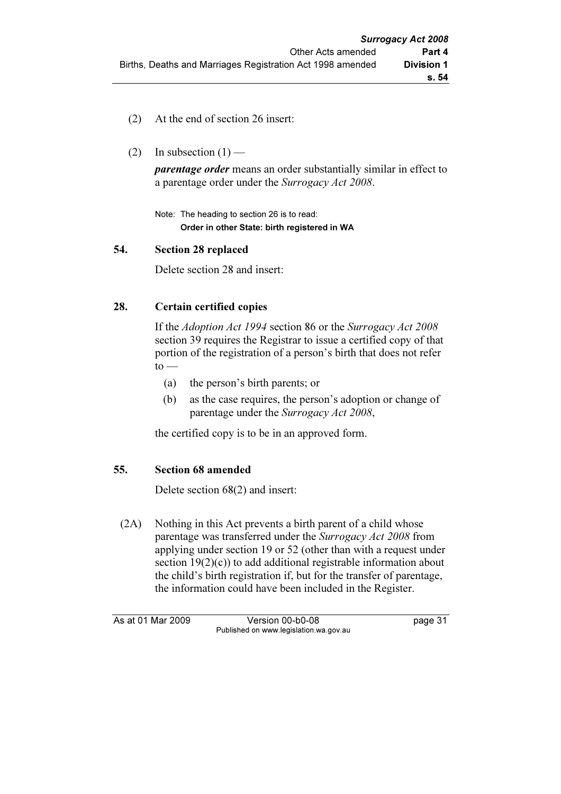- (2) At the end of section 26 insert:
- (2) In subsection  $(1)$  —

**parentage order** means an order substantially similar in effect to a parentage order under the Surrogacy Act 2008.

 Note: The heading to section 26 is to read: Order in other State: birth registered in WA

#### 54. Section 28 replaced

Delete section 28 and insert:

#### 28. Certain certified copies

 If the Adoption Act 1994 section 86 or the Surrogacy Act 2008 section 39 requires the Registrar to issue a certified copy of that portion of the registration of a person's birth that does not refer  $to -$ 

- (a) the person's birth parents; or
- (b) as the case requires, the person's adoption or change of parentage under the Surrogacy Act 2008,

the certified copy is to be in an approved form.

#### 55. Section 68 amended

Delete section 68(2) and insert:

 (2A) Nothing in this Act prevents a birth parent of a child whose parentage was transferred under the Surrogacy Act 2008 from applying under section 19 or 52 (other than with a request under section  $19(2)(c)$  to add additional registrable information about the child's birth registration if, but for the transfer of parentage, the information could have been included in the Register.

As at 01 Mar 2009 Version 00-b0-08 page 31 Published on www.legislation.wa.gov.au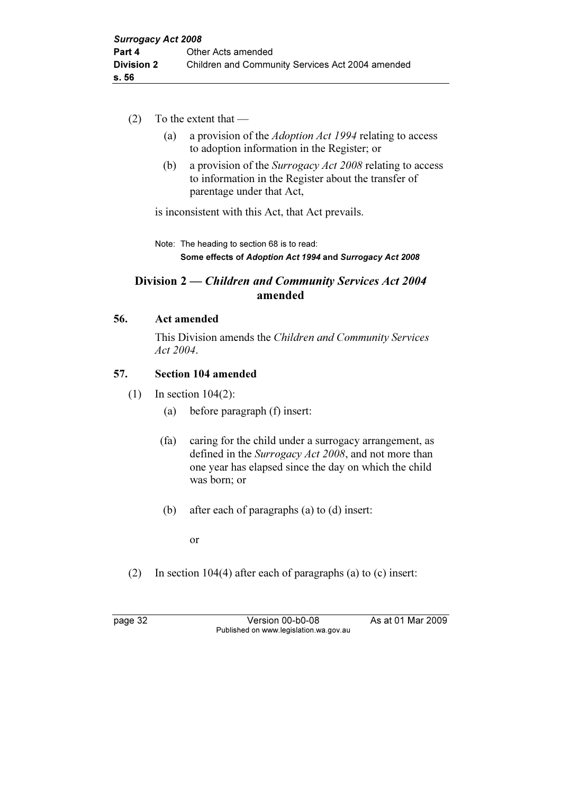- (2) To the extent that
	- (a) a provision of the Adoption Act 1994 relating to access to adoption information in the Register; or
	- (b) a provision of the Surrogacy Act 2008 relating to access to information in the Register about the transfer of parentage under that Act,

is inconsistent with this Act, that Act prevails.

 Note: The heading to section 68 is to read: Some effects of Adoption Act 1994 and Surrogacy Act 2008

## Division 2 — Children and Community Services Act 2004 amended

#### 56. Act amended

 This Division amends the Children and Community Services Act 2004.

#### 57. Section 104 amended

- (1) In section 104(2):
	- (a) before paragraph (f) insert:
	- (fa) caring for the child under a surrogacy arrangement, as defined in the Surrogacy Act 2008, and not more than one year has elapsed since the day on which the child was born; or
	- (b) after each of paragraphs (a) to (d) insert:

or

(2) In section 104(4) after each of paragraphs (a) to (c) insert:

page 32 Version 00-b0-08 As at 01 Mar 2009 Published on www.legislation.wa.gov.au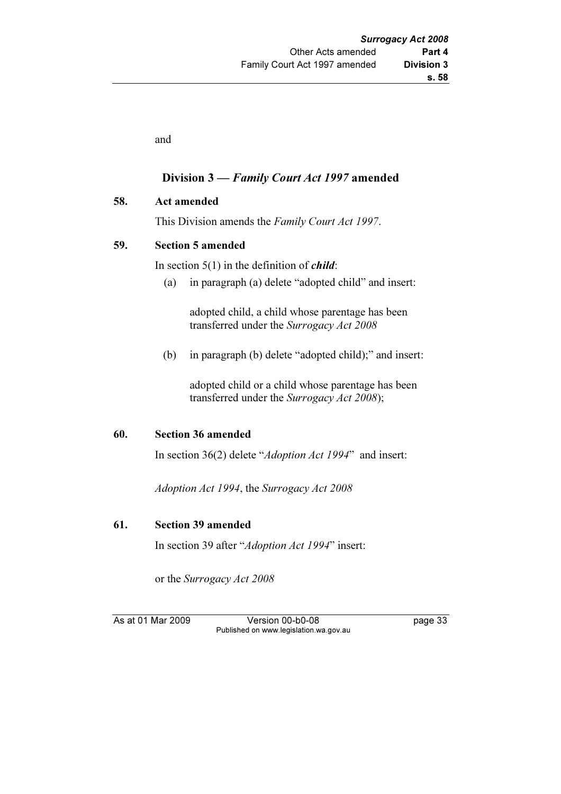and

#### Division 3 — Family Court Act 1997 amended

58. Act amended

This Division amends the Family Court Act 1997.

#### 59. Section 5 amended

In section  $5(1)$  in the definition of *child*:

(a) in paragraph (a) delete "adopted child" and insert:

 adopted child, a child whose parentage has been transferred under the Surrogacy Act 2008

(b) in paragraph (b) delete "adopted child);" and insert:

 adopted child or a child whose parentage has been transferred under the Surrogacy Act 2008);

#### 60. Section 36 amended

In section 36(2) delete "Adoption Act 1994" and insert:

Adoption Act 1994, the Surrogacy Act 2008

#### 61. Section 39 amended

In section 39 after "Adoption Act 1994" insert:

or the Surrogacy Act 2008

As at 01 Mar 2009 Version 00-b0-08 page 33 Published on www.legislation.wa.gov.au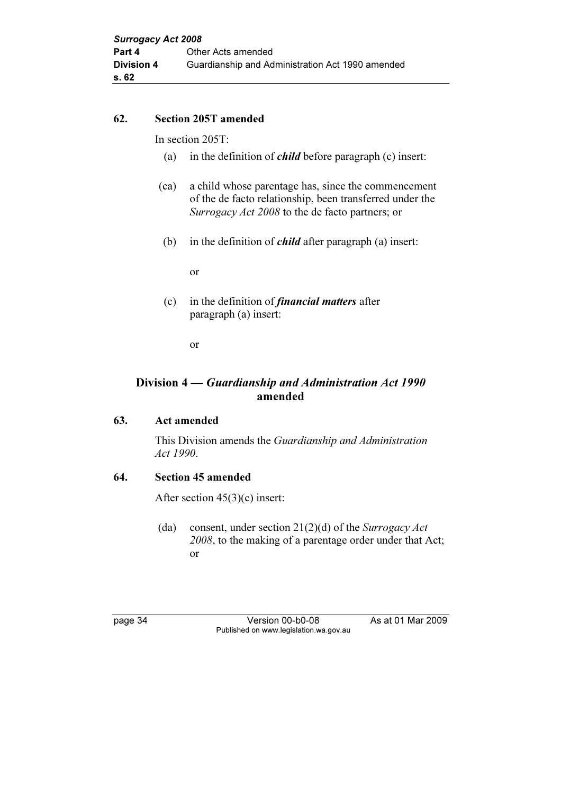#### 62. Section 205T amended

In section 205T:

- (a) in the definition of *child* before paragraph (c) insert:
- (ca) a child whose parentage has, since the commencement of the de facto relationship, been transferred under the Surrogacy Act 2008 to the de facto partners; or
- (b) in the definition of *child* after paragraph (a) insert:

or

(c) in the definition of *financial matters* after paragraph (a) insert:

or

## Division 4 — Guardianship and Administration Act 1990 amended

### 63. Act amended

 This Division amends the Guardianship and Administration Act 1990.

#### 64. Section 45 amended

After section 45(3)(c) insert:

(da) consent, under section  $21(2)(d)$  of the Surrogacy Act 2008, to the making of a parentage order under that Act; or

page 34 Version 00-b0-08 As at 01 Mar 2009 Published on www.legislation.wa.gov.au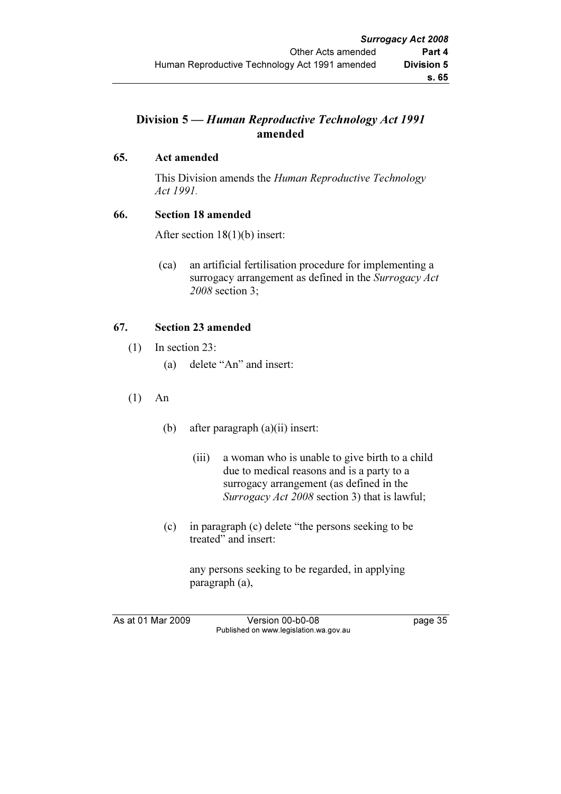## Division 5 — Human Reproductive Technology Act 1991 amended

### 65. Act amended

This Division amends the Human Reproductive Technology Act 1991.

#### 66. Section 18 amended

After section 18(1)(b) insert:

 (ca) an artificial fertilisation procedure for implementing a surrogacy arrangement as defined in the Surrogacy Act 2008 section 3;

## 67. Section 23 amended

- (1) In section 23:
	- (a) delete "An" and insert:
- (1) An
	- (b) after paragraph (a)(ii) insert:
		- (iii) a woman who is unable to give birth to a child due to medical reasons and is a party to a surrogacy arrangement (as defined in the Surrogacy Act 2008 section 3) that is lawful;
	- (c) in paragraph (c) delete "the persons seeking to be treated" and insert:

 any persons seeking to be regarded, in applying paragraph (a),

As at 01 Mar 2009 Version 00-b0-08 page 35 Published on www.legislation.wa.gov.au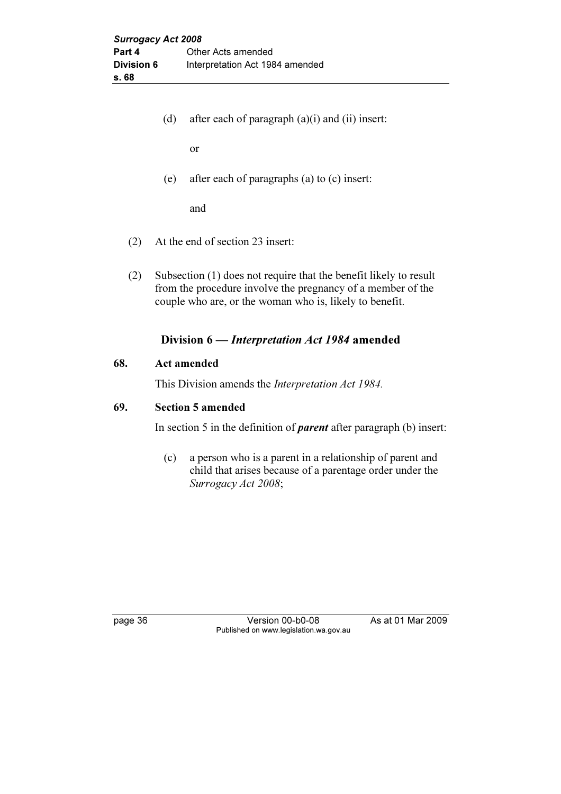(d) after each of paragraph  $(a)(i)$  and  $(ii)$  insert:

or

(e) after each of paragraphs (a) to (c) insert:

and

- (2) At the end of section 23 insert:
- (2) Subsection (1) does not require that the benefit likely to result from the procedure involve the pregnancy of a member of the couple who are, or the woman who is, likely to benefit.

#### Division 6 — Interpretation Act 1984 amended

#### 68. Act amended

This Division amends the Interpretation Act 1984.

#### 69. Section 5 amended

In section 5 in the definition of *parent* after paragraph (b) insert:

 (c) a person who is a parent in a relationship of parent and child that arises because of a parentage order under the Surrogacy Act 2008;

page 36 Version 00-b0-08 As at 01 Mar 2009 Published on www.legislation.wa.gov.au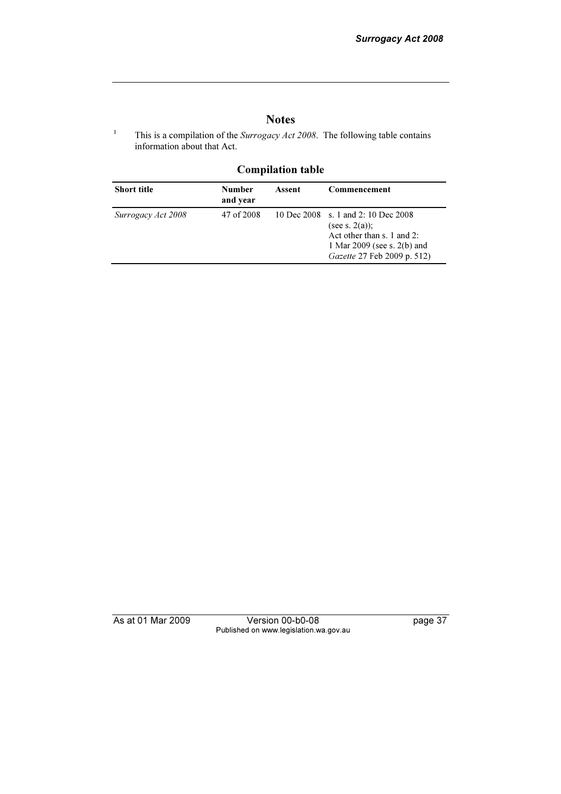## Notes

This is a compilation of the *Surrogacy Act 2008*. The following table contains information about that Act.

## Compilation table

| <b>Short title</b> | <b>Number</b><br>and year | Assent | Commencement                                                                                                                                             |
|--------------------|---------------------------|--------|----------------------------------------------------------------------------------------------------------------------------------------------------------|
| Surrogacy Act 2008 | 47 of 2008                |        | 10 Dec 2008 s. 1 and 2: 10 Dec 2008<br>(see s. $2(a)$ );<br>Act other than s. 1 and 2:<br>1 Mar $2009$ (see s. $2(b)$ and<br>Gazette 27 Feb 2009 p. 512) |

1

As at 01 Mar 2009 Version 00-b0-08 page 37 Published on www.legislation.wa.gov.au